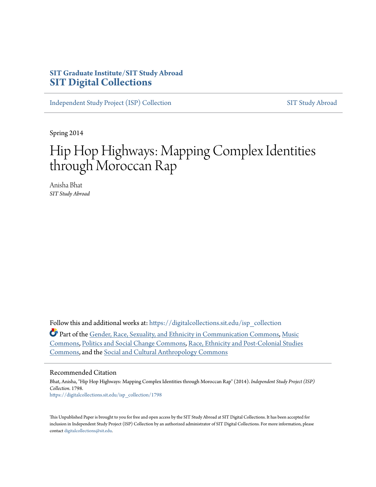## **SIT Graduate Institute/SIT Study Abroad [SIT Digital Collections](https://digitalcollections.sit.edu?utm_source=digitalcollections.sit.edu%2Fisp_collection%2F1798&utm_medium=PDF&utm_campaign=PDFCoverPages)**

[Independent Study Project \(ISP\) Collection](https://digitalcollections.sit.edu/isp_collection?utm_source=digitalcollections.sit.edu%2Fisp_collection%2F1798&utm_medium=PDF&utm_campaign=PDFCoverPages) [SIT Study Abroad](https://digitalcollections.sit.edu/study_abroad?utm_source=digitalcollections.sit.edu%2Fisp_collection%2F1798&utm_medium=PDF&utm_campaign=PDFCoverPages)

Spring 2014

# Hip Hop Highways: Mapping Complex Identities through Moroccan Rap

Anisha Bhat *SIT Study Abroad*

Follow this and additional works at: [https://digitalcollections.sit.edu/isp\\_collection](https://digitalcollections.sit.edu/isp_collection?utm_source=digitalcollections.sit.edu%2Fisp_collection%2F1798&utm_medium=PDF&utm_campaign=PDFCoverPages)

Part of the [Gender, Race, Sexuality, and Ethnicity in Communication Commons](http://network.bepress.com/hgg/discipline/329?utm_source=digitalcollections.sit.edu%2Fisp_collection%2F1798&utm_medium=PDF&utm_campaign=PDFCoverPages), [Music](http://network.bepress.com/hgg/discipline/518?utm_source=digitalcollections.sit.edu%2Fisp_collection%2F1798&utm_medium=PDF&utm_campaign=PDFCoverPages) [Commons,](http://network.bepress.com/hgg/discipline/518?utm_source=digitalcollections.sit.edu%2Fisp_collection%2F1798&utm_medium=PDF&utm_campaign=PDFCoverPages) [Politics and Social Change Commons](http://network.bepress.com/hgg/discipline/425?utm_source=digitalcollections.sit.edu%2Fisp_collection%2F1798&utm_medium=PDF&utm_campaign=PDFCoverPages), [Race, Ethnicity and Post-Colonial Studies](http://network.bepress.com/hgg/discipline/566?utm_source=digitalcollections.sit.edu%2Fisp_collection%2F1798&utm_medium=PDF&utm_campaign=PDFCoverPages) [Commons,](http://network.bepress.com/hgg/discipline/566?utm_source=digitalcollections.sit.edu%2Fisp_collection%2F1798&utm_medium=PDF&utm_campaign=PDFCoverPages) and the [Social and Cultural Anthropology Commons](http://network.bepress.com/hgg/discipline/323?utm_source=digitalcollections.sit.edu%2Fisp_collection%2F1798&utm_medium=PDF&utm_campaign=PDFCoverPages)

#### Recommended Citation

Bhat, Anisha, "Hip Hop Highways: Mapping Complex Identities through Moroccan Rap" (2014). *Independent Study Project (ISP) Collection*. 1798. [https://digitalcollections.sit.edu/isp\\_collection/1798](https://digitalcollections.sit.edu/isp_collection/1798?utm_source=digitalcollections.sit.edu%2Fisp_collection%2F1798&utm_medium=PDF&utm_campaign=PDFCoverPages)

This Unpublished Paper is brought to you for free and open access by the SIT Study Abroad at SIT Digital Collections. It has been accepted for inclusion in Independent Study Project (ISP) Collection by an authorized administrator of SIT Digital Collections. For more information, please contact [digitalcollections@sit.edu](mailto:digitalcollections@sit.edu).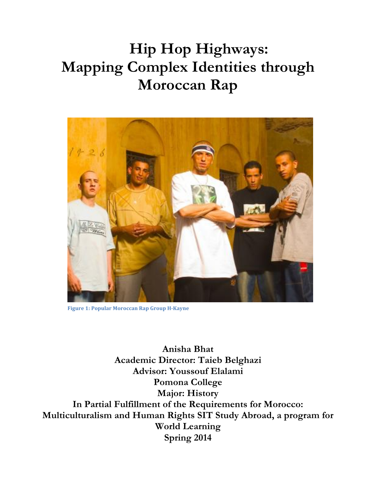# **Hip Hop Highways: Mapping Complex Identities through Moroccan Rap**



Figure 1: Popular Moroccan Rap Group H-Kayne

**Anisha Bhat Academic Director: Taieb Belghazi Advisor: Youssouf Elalami Pomona College Major: History In Partial Fulfillment of the Requirements for Morocco: Multiculturalism and Human Rights SIT Study Abroad, a program for World Learning Spring 2014**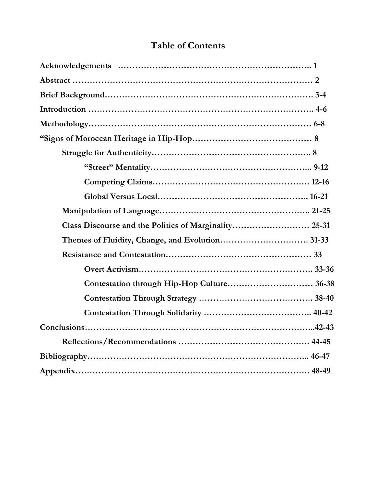## **Table of Contents**

| Contestation through Hip-Hop Culture 36-38 |  |
|--------------------------------------------|--|
|                                            |  |
|                                            |  |
|                                            |  |
|                                            |  |
|                                            |  |
|                                            |  |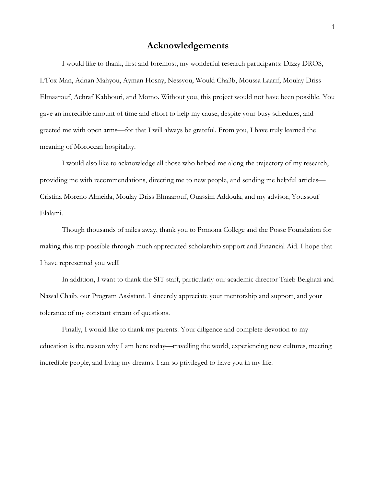## **Acknowledgements**

I would like to thank, first and foremost, my wonderful research participants: Dizzy DROS, L'Fox Man, Adnan Mahyou, Ayman Hosny, Nessyou, Would Cha3b, Moussa Laarif, Moulay Driss Elmaarouf, Achraf Kabbouri, and Momo. Without you, this project would not have been possible. You gave an incredible amount of time and effort to help my cause, despite your busy schedules, and greeted me with open arms—for that I will always be grateful. From you, I have truly learned the meaning of Moroccan hospitality.

I would also like to acknowledge all those who helped me along the trajectory of my research, providing me with recommendations, directing me to new people, and sending me helpful articles— Cristina Moreno Almeida, Moulay Driss Elmaarouf, Ouassim Addoula, and my advisor, Youssouf Elalami.

Though thousands of miles away, thank you to Pomona College and the Posse Foundation for making this trip possible through much appreciated scholarship support and Financial Aid. I hope that I have represented you well!

In addition, I want to thank the SIT staff, particularly our academic director Taieb Belghazi and Nawal Chaib, our Program Assistant. I sincerely appreciate your mentorship and support, and your tolerance of my constant stream of questions.

Finally, I would like to thank my parents. Your diligence and complete devotion to my education is the reason why I am here today—travelling the world, experiencing new cultures, meeting incredible people, and living my dreams. I am so privileged to have you in my life.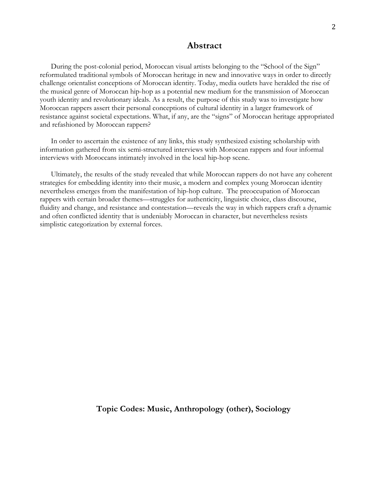#### **Abstract**

During the post-colonial period, Moroccan visual artists belonging to the "School of the Sign" reformulated traditional symbols of Moroccan heritage in new and innovative ways in order to directly challenge orientalist conceptions of Moroccan identity. Today, media outlets have heralded the rise of the musical genre of Moroccan hip-hop as a potential new medium for the transmission of Moroccan youth identity and revolutionary ideals. As a result, the purpose of this study was to investigate how Moroccan rappers assert their personal conceptions of cultural identity in a larger framework of resistance against societal expectations. What, if any, are the "signs" of Moroccan heritage appropriated and refashioned by Moroccan rappers?

In order to ascertain the existence of any links, this study synthesized existing scholarship with information gathered from six semi-structured interviews with Moroccan rappers and four informal interviews with Moroccans intimately involved in the local hip-hop scene.

Ultimately, the results of the study revealed that while Moroccan rappers do not have any coherent strategies for embedding identity into their music, a modern and complex young Moroccan identity nevertheless emerges from the manifestation of hip-hop culture. The preoccupation of Moroccan rappers with certain broader themes—struggles for authenticity, linguistic choice, class discourse, fluidity and change, and resistance and contestation—reveals the way in which rappers craft a dynamic and often conflicted identity that is undeniably Moroccan in character, but nevertheless resists simplistic categorization by external forces.

**Topic Codes: Music, Anthropology (other), Sociology**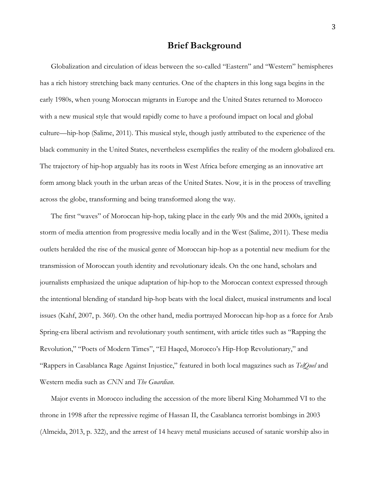## **Brief Background**

Globalization and circulation of ideas between the so-called "Eastern" and "Western" hemispheres has a rich history stretching back many centuries. One of the chapters in this long saga begins in the early 1980s, when young Moroccan migrants in Europe and the United States returned to Morocco with a new musical style that would rapidly come to have a profound impact on local and global culture—hip-hop (Salime, 2011). This musical style, though justly attributed to the experience of the black community in the United States, nevertheless exemplifies the reality of the modern globalized era. The trajectory of hip-hop arguably has its roots in West Africa before emerging as an innovative art form among black youth in the urban areas of the United States. Now, it is in the process of travelling across the globe, transforming and being transformed along the way.

The first "waves" of Moroccan hip-hop, taking place in the early 90s and the mid 2000s, ignited a storm of media attention from progressive media locally and in the West (Salime, 2011). These media outlets heralded the rise of the musical genre of Moroccan hip-hop as a potential new medium for the transmission of Moroccan youth identity and revolutionary ideals. On the one hand, scholars and journalists emphasized the unique adaptation of hip-hop to the Moroccan context expressed through the intentional blending of standard hip-hop beats with the local dialect, musical instruments and local issues (Kahf, 2007, p. 360). On the other hand, media portrayed Moroccan hip-hop as a force for Arab Spring-era liberal activism and revolutionary youth sentiment, with article titles such as "Rapping the Revolution," "Poets of Modern Times", "El Haqed, Morocco's Hip-Hop Revolutionary," and "Rappers in Casablanca Rage Against Injustice," featured in both local magazines such as *TelQuel* and Western media such as *CNN* and *The Guardian*.

Major events in Morocco including the accession of the more liberal King Mohammed VI to the throne in 1998 after the repressive regime of Hassan II, the Casablanca terrorist bombings in 2003 (Almeida, 2013, p. 322), and the arrest of 14 heavy metal musicians accused of satanic worship also in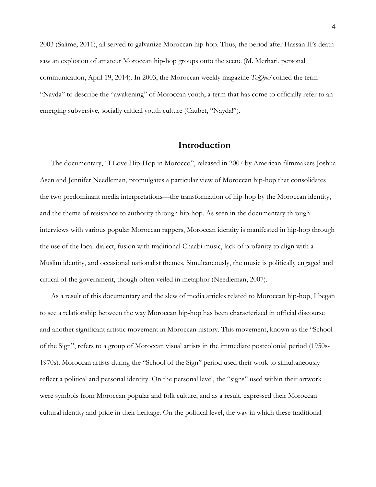2003 (Salime, 2011), all served to galvanize Moroccan hip-hop. Thus, the period after Hassan II's death saw an explosion of amateur Moroccan hip-hop groups onto the scene (M. Merhari, personal communication, April 19, 2014). In 2003, the Moroccan weekly magazine *TelQuel* coined the term "Nayda" to describe the "awakening" of Moroccan youth, a term that has come to officially refer to an emerging subversive, socially critical youth culture (Caubet, "Nayda!").

## **Introduction**

The documentary, "I Love Hip-Hop in Morocco", released in 2007 by American filmmakers Joshua Asen and Jennifer Needleman, promulgates a particular view of Moroccan hip-hop that consolidates the two predominant media interpretations—the transformation of hip-hop by the Moroccan identity, and the theme of resistance to authority through hip-hop. As seen in the documentary through interviews with various popular Moroccan rappers, Moroccan identity is manifested in hip-hop through the use of the local dialect, fusion with traditional Chaabi music, lack of profanity to align with a Muslim identity, and occasional nationalist themes. Simultaneously, the music is politically engaged and critical of the government, though often veiled in metaphor (Needleman, 2007).

As a result of this documentary and the slew of media articles related to Moroccan hip-hop, I began to see a relationship between the way Moroccan hip-hop has been characterized in official discourse and another significant artistic movement in Moroccan history. This movement, known as the "School of the Sign", refers to a group of Moroccan visual artists in the immediate postcolonial period (1950s-1970s). Moroccan artists during the "School of the Sign" period used their work to simultaneously reflect a political and personal identity. On the personal level, the "signs" used within their artwork were symbols from Moroccan popular and folk culture, and as a result, expressed their Moroccan cultural identity and pride in their heritage. On the political level, the way in which these traditional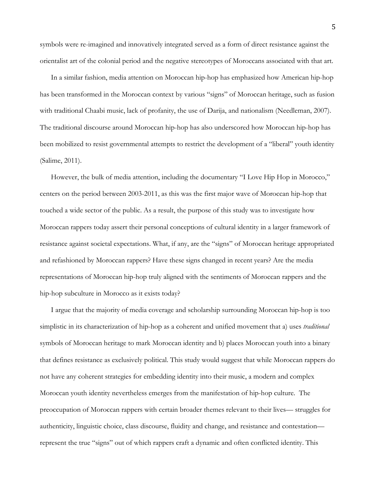symbols were re-imagined and innovatively integrated served as a form of direct resistance against the orientalist art of the colonial period and the negative stereotypes of Moroccans associated with that art.

In a similar fashion, media attention on Moroccan hip-hop has emphasized how American hip-hop has been transformed in the Moroccan context by various "signs" of Moroccan heritage, such as fusion with traditional Chaabi music, lack of profanity, the use of Darija, and nationalism (Needleman, 2007). The traditional discourse around Moroccan hip-hop has also underscored how Moroccan hip-hop has been mobilized to resist governmental attempts to restrict the development of a "liberal" youth identity (Salime, 2011).

However, the bulk of media attention, including the documentary "I Love Hip Hop in Morocco," centers on the period between 2003-2011, as this was the first major wave of Moroccan hip-hop that touched a wide sector of the public. As a result, the purpose of this study was to investigate how Moroccan rappers today assert their personal conceptions of cultural identity in a larger framework of resistance against societal expectations. What, if any, are the "signs" of Moroccan heritage appropriated and refashioned by Moroccan rappers? Have these signs changed in recent years? Are the media representations of Moroccan hip-hop truly aligned with the sentiments of Moroccan rappers and the hip-hop subculture in Morocco as it exists today?

I argue that the majority of media coverage and scholarship surrounding Moroccan hip-hop is too simplistic in its characterization of hip-hop as a coherent and unified movement that a) uses *traditional*  symbols of Moroccan heritage to mark Moroccan identity and b) places Moroccan youth into a binary that defines resistance as exclusively political. This study would suggest that while Moroccan rappers do not have any coherent strategies for embedding identity into their music, a modern and complex Moroccan youth identity nevertheless emerges from the manifestation of hip-hop culture. The preoccupation of Moroccan rappers with certain broader themes relevant to their lives— struggles for authenticity, linguistic choice, class discourse, fluidity and change, and resistance and contestation represent the true "signs" out of which rappers craft a dynamic and often conflicted identity. This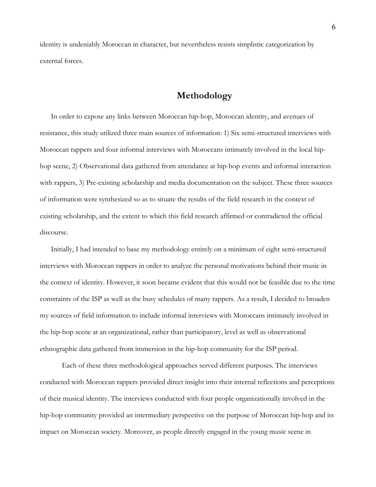identity is undeniably Moroccan in character, but nevertheless resists simplistic categorization by external forces.

## **Methodology**

In order to expose any links between Moroccan hip-hop, Moroccan identity, and avenues of resistance, this study utilized three main sources of information: 1) Six semi-structured interviews with Moroccan rappers and four informal interviews with Moroccans intimately involved in the local hiphop scene, 2) Observational data gathered from attendance at hip-hop events and informal interaction with rappers, 3) Pre-existing scholarship and media documentation on the subject. These three sources of information were synthesized so as to situate the results of the field research in the context of existing scholarship, and the extent to which this field research affirmed or contradicted the official discourse.

Initially, I had intended to base my methodology entirely on a minimum of eight semi-structured interviews with Moroccan rappers in order to analyze the personal motivations behind their music in the context of identity. However, it soon became evident that this would not be feasible due to the time constraints of the ISP as well as the busy schedules of many rappers. As a result, I decided to broaden my sources of field information to include informal interviews with Moroccans intimately involved in the hip-hop scene at an organizational, rather than participatory, level as well as observational ethnographic data gathered from immersion in the hip-hop community for the ISP period.

Each of these three methodological approaches served different purposes. The interviews conducted with Moroccan rappers provided direct insight into their internal reflections and perceptions of their musical identity. The interviews conducted with four people organizationally involved in the hip-hop community provided an intermediary perspective on the purpose of Moroccan hip-hop and its impact on Moroccan society. Moreover, as people directly engaged in the young music scene in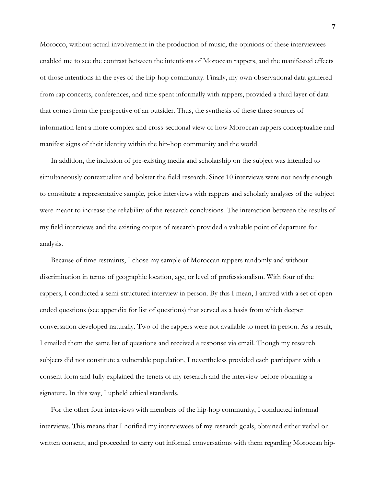Morocco, without actual involvement in the production of music, the opinions of these interviewees enabled me to see the contrast between the intentions of Moroccan rappers, and the manifested effects of those intentions in the eyes of the hip-hop community. Finally, my own observational data gathered from rap concerts, conferences, and time spent informally with rappers, provided a third layer of data that comes from the perspective of an outsider. Thus, the synthesis of these three sources of information lent a more complex and cross-sectional view of how Moroccan rappers conceptualize and manifest signs of their identity within the hip-hop community and the world.

In addition, the inclusion of pre-existing media and scholarship on the subject was intended to simultaneously contextualize and bolster the field research. Since 10 interviews were not nearly enough to constitute a representative sample, prior interviews with rappers and scholarly analyses of the subject were meant to increase the reliability of the research conclusions. The interaction between the results of my field interviews and the existing corpus of research provided a valuable point of departure for analysis.

Because of time restraints, I chose my sample of Moroccan rappers randomly and without discrimination in terms of geographic location, age, or level of professionalism. With four of the rappers, I conducted a semi-structured interview in person. By this I mean, I arrived with a set of openended questions (see appendix for list of questions) that served as a basis from which deeper conversation developed naturally. Two of the rappers were not available to meet in person. As a result, I emailed them the same list of questions and received a response via email. Though my research subjects did not constitute a vulnerable population, I nevertheless provided each participant with a consent form and fully explained the tenets of my research and the interview before obtaining a signature. In this way, I upheld ethical standards.

For the other four interviews with members of the hip-hop community, I conducted informal interviews. This means that I notified my interviewees of my research goals, obtained either verbal or written consent, and proceeded to carry out informal conversations with them regarding Moroccan hip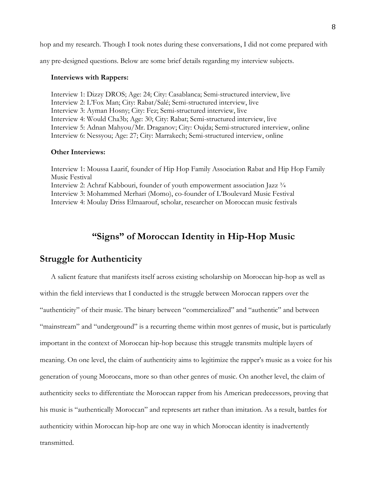hop and my research. Though I took notes during these conversations, I did not come prepared with

any pre-designed questions. Below are some brief details regarding my interview subjects.

#### **Interviews with Rappers:**

Interview 1: Dizzy DROS; Age: 24; City: Casablanca; Semi-structured interview, live Interview 2: L'Fox Man; City: Rabat/Salé; Semi-structured interview, live Interview 3: Ayman Hosny; City: Fez; Semi-structured interview, live Interview 4: Would Cha3b; Age: 30; City: Rabat; Semi-structured interview, live Interview 5: Adnan Mahyou/Mr. Draganov; City: Oujda; Semi-structured interview, online Interview 6: Nessyou; Age: 27; City: Marrakech; Semi-structured interview, online

#### **Other Interviews:**

Interview 1: Moussa Laarif, founder of Hip Hop Family Association Rabat and Hip Hop Family Music Festival Interview 2: Achraf Kabbouri, founder of youth empowerment association Jazz ¾ Interview 3: Mohammed Merhari (Momo), co-founder of L'Boulevard Music Festival Interview 4: Moulay Driss Elmaarouf, scholar, researcher on Moroccan music festivals

## **"Signs" of Moroccan Identity in Hip-Hop Music**

#### **Struggle for Authenticity**

A salient feature that manifests itself across existing scholarship on Moroccan hip-hop as well as within the field interviews that I conducted is the struggle between Moroccan rappers over the "authenticity" of their music. The binary between "commercialized" and "authentic" and between "mainstream" and "underground" is a recurring theme within most genres of music, but is particularly important in the context of Moroccan hip-hop because this struggle transmits multiple layers of meaning. On one level, the claim of authenticity aims to legitimize the rapper's music as a voice for his generation of young Moroccans, more so than other genres of music. On another level, the claim of authenticity seeks to differentiate the Moroccan rapper from his American predecessors, proving that his music is "authentically Moroccan" and represents art rather than imitation. As a result, battles for authenticity within Moroccan hip-hop are one way in which Moroccan identity is inadvertently transmitted.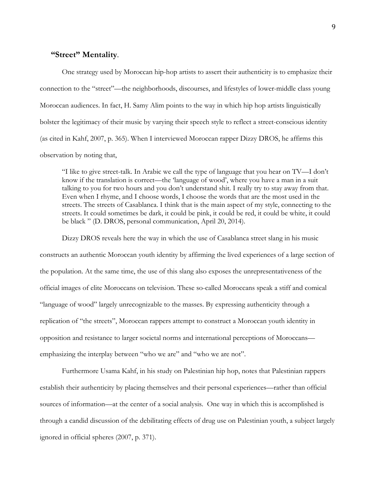#### **"Street" Mentality**.

One strategy used by Moroccan hip-hop artists to assert their authenticity is to emphasize their connection to the "street"—the neighborhoods, discourses, and lifestyles of lower-middle class young Moroccan audiences. In fact, H. Samy Alim points to the way in which hip hop artists linguistically bolster the legitimacy of their music by varying their speech style to reflect a street-conscious identity (as cited in Kahf, 2007, p. 365). When I interviewed Moroccan rapper Dizzy DROS, he affirms this observation by noting that,

"I like to give street-talk. In Arabic we call the type of language that you hear on TV—I don't know if the translation is correct—the 'language of wood', where you have a man in a suit talking to you for two hours and you don't understand shit. I really try to stay away from that. Even when I rhyme, and I choose words, I choose the words that are the most used in the streets. The streets of Casablanca. I think that is the main aspect of my style, connecting to the streets. It could sometimes be dark, it could be pink, it could be red, it could be white, it could be black " (D. DROS, personal communication, April 20, 2014).

Dizzy DROS reveals here the way in which the use of Casablanca street slang in his music constructs an authentic Moroccan youth identity by affirming the lived experiences of a large section of the population. At the same time, the use of this slang also exposes the unrepresentativeness of the official images of elite Moroccans on television. These so-called Moroccans speak a stiff and comical "language of wood" largely unrecognizable to the masses. By expressing authenticity through a replication of "the streets", Moroccan rappers attempt to construct a Moroccan youth identity in opposition and resistance to larger societal norms and international perceptions of Moroccans emphasizing the interplay between "who we are" and "who we are not".

Furthermore Usama Kahf, in his study on Palestinian hip hop, notes that Palestinian rappers establish their authenticity by placing themselves and their personal experiences—rather than official sources of information—at the center of a social analysis. One way in which this is accomplished is through a candid discussion of the debilitating effects of drug use on Palestinian youth, a subject largely ignored in official spheres (2007, p. 371).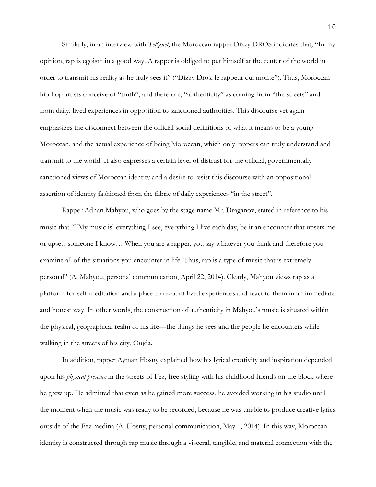Similarly, in an interview with *TelQuel*, the Moroccan rapper Dizzy DROS indicates that, "In my opinion, rap is egoism in a good way. A rapper is obliged to put himself at the center of the world in order to transmit his reality as he truly sees it" ("Dizzy Dros, le rappeur qui monte"). Thus, Moroccan hip-hop artists conceive of "truth", and therefore, "authenticity" as coming from "the streets" and from daily, lived experiences in opposition to sanctioned authorities. This discourse yet again emphasizes the disconnect between the official social definitions of what it means to be a young Moroccan, and the actual experience of being Moroccan, which only rappers can truly understand and transmit to the world. It also expresses a certain level of distrust for the official, governmentally sanctioned views of Moroccan identity and a desire to resist this discourse with an oppositional assertion of identity fashioned from the fabric of daily experiences "in the street".

Rapper Adnan Mahyou, who goes by the stage name Mr. Draganov, stated in reference to his music that "'[My music is] everything I see, everything I live each day, be it an encounter that upsets me or upsets someone I know… When you are a rapper, you say whatever you think and therefore you examine all of the situations you encounter in life. Thus, rap is a type of music that is extremely personal" (A. Mahyou, personal communication, April 22, 2014). Clearly, Mahyou views rap as a platform for self-meditation and a place to recount lived experiences and react to them in an immediate and honest way. In other words, the construction of authenticity in Mahyou's music is situated within the physical, geographical realm of his life—the things he sees and the people he encounters while walking in the streets of his city, Oujda.

In addition, rapper Ayman Hosny explained how his lyrical creativity and inspiration depended upon his *physical presence* in the streets of Fez, free styling with his childhood friends on the block where he grew up. He admitted that even as he gained more success, he avoided working in his studio until the moment when the music was ready to be recorded, because he was unable to produce creative lyrics outside of the Fez medina (A. Hosny, personal communication, May 1, 2014). In this way, Moroccan identity is constructed through rap music through a visceral, tangible, and material connection with the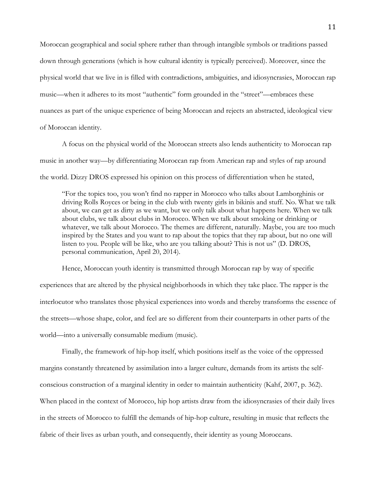Moroccan geographical and social sphere rather than through intangible symbols or traditions passed down through generations (which is how cultural identity is typically perceived). Moreover, since the physical world that we live in is filled with contradictions, ambiguities, and idiosyncrasies, Moroccan rap music—when it adheres to its most "authentic" form grounded in the "street"—embraces these nuances as part of the unique experience of being Moroccan and rejects an abstracted, ideological view of Moroccan identity.

A focus on the physical world of the Moroccan streets also lends authenticity to Moroccan rap music in another way—by differentiating Moroccan rap from American rap and styles of rap around the world. Dizzy DROS expressed his opinion on this process of differentiation when he stated,

"For the topics too, you won't find no rapper in Morocco who talks about Lamborghinis or driving Rolls Royces or being in the club with twenty girls in bikinis and stuff. No. What we talk about, we can get as dirty as we want, but we only talk about what happens here. When we talk about clubs, we talk about clubs in Morocco. When we talk about smoking or drinking or whatever, we talk about Morocco. The themes are different, naturally. Maybe, you are too much inspired by the States and you want to rap about the topics that they rap about, but no one will listen to you. People will be like, who are you talking about? This is not us" (D. DROS, personal communication, April 20, 2014).

Hence, Moroccan youth identity is transmitted through Moroccan rap by way of specific experiences that are altered by the physical neighborhoods in which they take place. The rapper is the interlocutor who translates those physical experiences into words and thereby transforms the essence of the streets—whose shape, color, and feel are so different from their counterparts in other parts of the world—into a universally consumable medium (music).

Finally, the framework of hip-hop itself, which positions itself as the voice of the oppressed margins constantly threatened by assimilation into a larger culture, demands from its artists the selfconscious construction of a marginal identity in order to maintain authenticity (Kahf, 2007, p. 362). When placed in the context of Morocco, hip hop artists draw from the idiosyncrasies of their daily lives in the streets of Morocco to fulfill the demands of hip-hop culture, resulting in music that reflects the fabric of their lives as urban youth, and consequently, their identity as young Moroccans.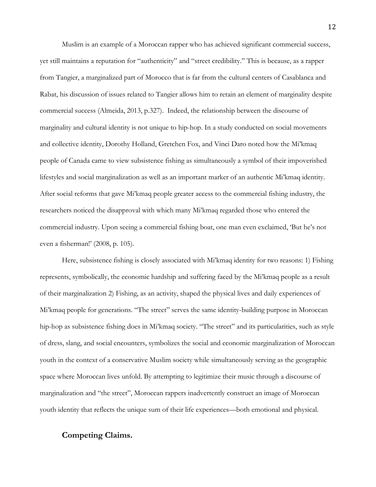Muslim is an example of a Moroccan rapper who has achieved significant commercial success, yet still maintains a reputation for "authenticity" and "street credibility." This is because, as a rapper from Tangier, a marginalized part of Morocco that is far from the cultural centers of Casablanca and Rabat, his discussion of issues related to Tangier allows him to retain an element of marginality despite commercial success (Almeida, 2013, p.327). Indeed, the relationship between the discourse of marginality and cultural identity is not unique to hip-hop. In a study conducted on social movements and collective identity, Dorothy Holland, Gretchen Fox, and Vinci Daro noted how the Mi'kmaq people of Canada came to view subsistence fishing as simultaneously a symbol of their impoverished lifestyles and social marginalization as well as an important marker of an authentic Mi'kmaq identity. After social reforms that gave Mi'kmaq people greater access to the commercial fishing industry, the researchers noticed the disapproval with which many Mi'kmaq regarded those who entered the commercial industry. Upon seeing a commercial fishing boat, one man even exclaimed, 'But he's not even a fisherman!' (2008, p. 105).

Here, subsistence fishing is closely associated with Mi'kmaq identity for two reasons: 1) Fishing represents, symbolically, the economic hardship and suffering faced by the Mi'kmaq people as a result of their marginalization 2) Fishing, as an activity, shaped the physical lives and daily experiences of Mi'kmaq people for generations. "The street" serves the same identity-building purpose in Moroccan hip-hop as subsistence fishing does in Mi'kmaq society. "The street" and its particularities, such as style of dress, slang, and social encounters, symbolizes the social and economic marginalization of Moroccan youth in the context of a conservative Muslim society while simultaneously serving as the geographic space where Moroccan lives unfold. By attempting to legitimize their music through a discourse of marginalization and "the street", Moroccan rappers inadvertently construct an image of Moroccan youth identity that reflects the unique sum of their life experiences—both emotional and physical.

### **Competing Claims.**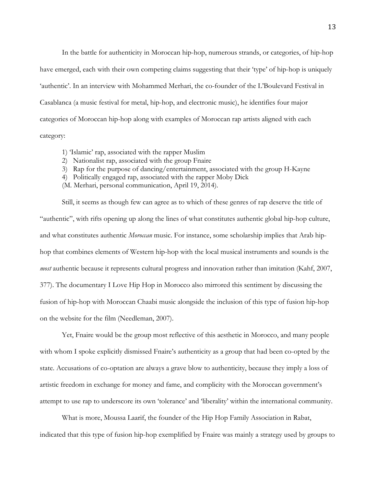In the battle for authenticity in Moroccan hip-hop, numerous strands, or categories, of hip-hop have emerged, each with their own competing claims suggesting that their 'type' of hip-hop is uniquely 'authentic'. In an interview with Mohammed Merhari, the co-founder of the L'Boulevard Festival in Casablanca (a music festival for metal, hip-hop, and electronic music), he identifies four major categories of Moroccan hip-hop along with examples of Moroccan rap artists aligned with each category:

- 1) 'Islamic' rap, associated with the rapper Muslim
- 2) Nationalist rap, associated with the group Fnaire
- 3) Rap for the purpose of dancing/entertainment, associated with the group H-Kayne
- 4) Politically engaged rap, associated with the rapper Moby Dick
- (M. Merhari, personal communication, April 19, 2014).

Still, it seems as though few can agree as to which of these genres of rap deserve the title of "authentic", with rifts opening up along the lines of what constitutes authentic global hip-hop culture, and what constitutes authentic *Moroccan* music. For instance, some scholarship implies that Arab hiphop that combines elements of Western hip-hop with the local musical instruments and sounds is the *most* authentic because it represents cultural progress and innovation rather than imitation (Kahf, 2007, 377). The documentary I Love Hip Hop in Morocco also mirrored this sentiment by discussing the fusion of hip-hop with Moroccan Chaabi music alongside the inclusion of this type of fusion hip-hop on the website for the film (Needleman, 2007).

Yet, Fnaire would be the group most reflective of this aesthetic in Morocco, and many people with whom I spoke explicitly dismissed Fnaire's authenticity as a group that had been co-opted by the state. Accusations of co-optation are always a grave blow to authenticity, because they imply a loss of artistic freedom in exchange for money and fame, and complicity with the Moroccan government's attempt to use rap to underscore its own 'tolerance' and 'liberality' within the international community.

What is more, Moussa Laarif, the founder of the Hip Hop Family Association in Rabat, indicated that this type of fusion hip-hop exemplified by Fnaire was mainly a strategy used by groups to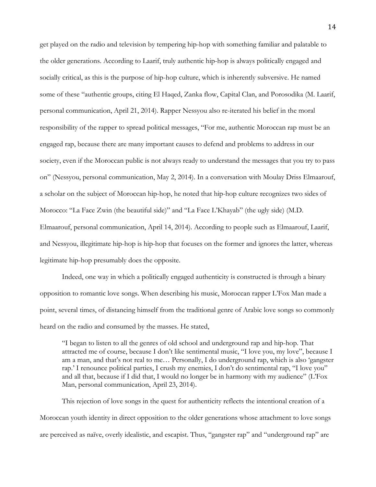get played on the radio and television by tempering hip-hop with something familiar and palatable to the older generations. According to Laarif, truly authentic hip-hop is always politically engaged and socially critical, as this is the purpose of hip-hop culture, which is inherently subversive. He named some of these "authentic groups, citing El Haqed, Zanka flow, Capital Clan, and Porosodika (M. Laarif, personal communication, April 21, 2014). Rapper Nessyou also re-iterated his belief in the moral responsibility of the rapper to spread political messages, "For me, authentic Moroccan rap must be an engaged rap, because there are many important causes to defend and problems to address in our society, even if the Moroccan public is not always ready to understand the messages that you try to pass on" (Nessyou, personal communication, May 2, 2014). In a conversation with Moulay Driss Elmaarouf, a scholar on the subject of Moroccan hip-hop, he noted that hip-hop culture recognizes two sides of Morocco: "La Face Zwin (the beautiful side)" and "La Face L'Khayab" (the ugly side) (M.D. Elmaarouf, personal communication, April 14, 2014). According to people such as Elmaarouf, Laarif, and Nessyou, illegitimate hip-hop is hip-hop that focuses on the former and ignores the latter, whereas legitimate hip-hop presumably does the opposite.

Indeed, one way in which a politically engaged authenticity is constructed is through a binary opposition to romantic love songs. When describing his music, Moroccan rapper L'Fox Man made a point, several times, of distancing himself from the traditional genre of Arabic love songs so commonly heard on the radio and consumed by the masses. He stated,

"I began to listen to all the genres of old school and underground rap and hip-hop. That attracted me of course, because I don't like sentimental music, "I love you, my love", because I am a man, and that's not real to me… Personally, I do underground rap, which is also 'gangster rap.' I renounce political parties, I crush my enemies, I don't do sentimental rap, "I love you" and all that, because if I did that, I would no longer be in harmony with my audience" (L'Fox Man, personal communication, April 23, 2014).

This rejection of love songs in the quest for authenticity reflects the intentional creation of a Moroccan youth identity in direct opposition to the older generations whose attachment to love songs are perceived as naïve, overly idealistic, and escapist. Thus, "gangster rap" and "underground rap" are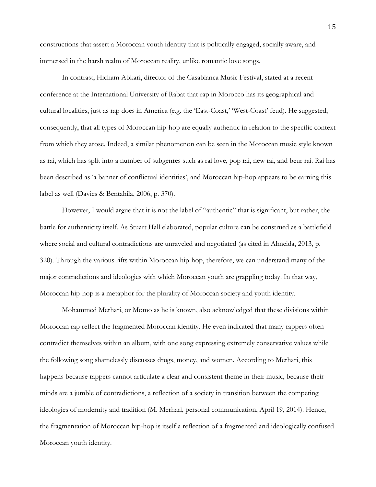constructions that assert a Moroccan youth identity that is politically engaged, socially aware, and immersed in the harsh realm of Moroccan reality, unlike romantic love songs.

In contrast, Hicham Abkari, director of the Casablanca Music Festival, stated at a recent conference at the International University of Rabat that rap in Morocco has its geographical and cultural localities, just as rap does in America (e.g. the 'East-Coast,' 'West-Coast' feud). He suggested, consequently, that all types of Moroccan hip-hop are equally authentic in relation to the specific context from which they arose. Indeed, a similar phenomenon can be seen in the Moroccan music style known as rai, which has split into a number of subgenres such as rai love, pop rai, new rai, and beur rai. Rai has been described as 'a banner of conflictual identities', and Moroccan hip-hop appears to be earning this label as well (Davies & Bentahila, 2006, p. 370).

However, I would argue that it is not the label of "authentic" that is significant, but rather, the battle for authenticity itself. As Stuart Hall elaborated, popular culture can be construed as a battlefield where social and cultural contradictions are unraveled and negotiated (as cited in Almeida, 2013, p. 320). Through the various rifts within Moroccan hip-hop, therefore, we can understand many of the major contradictions and ideologies with which Moroccan youth are grappling today. In that way, Moroccan hip-hop is a metaphor for the plurality of Moroccan society and youth identity.

Mohammed Merhari, or Momo as he is known, also acknowledged that these divisions within Moroccan rap reflect the fragmented Moroccan identity. He even indicated that many rappers often contradict themselves within an album, with one song expressing extremely conservative values while the following song shamelessly discusses drugs, money, and women. According to Merhari, this happens because rappers cannot articulate a clear and consistent theme in their music, because their minds are a jumble of contradictions, a reflection of a society in transition between the competing ideologies of modernity and tradition (M. Merhari, personal communication, April 19, 2014). Hence, the fragmentation of Moroccan hip-hop is itself a reflection of a fragmented and ideologically confused Moroccan youth identity.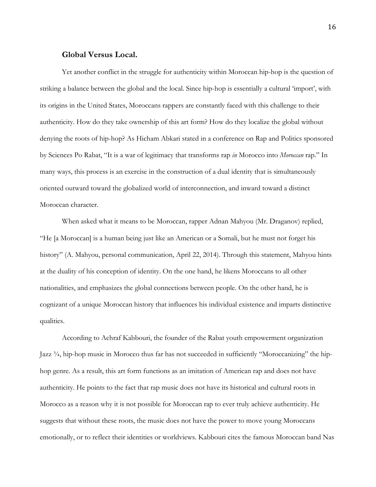#### **Global Versus Local.**

Yet another conflict in the struggle for authenticity within Moroccan hip-hop is the question of striking a balance between the global and the local. Since hip-hop is essentially a cultural 'import', with its origins in the United States, Moroccans rappers are constantly faced with this challenge to their authenticity. How do they take ownership of this art form? How do they localize the global without denying the roots of hip-hop? As Hicham Abkari stated in a conference on Rap and Politics sponsored by Sciences Po Rabat, "It is a war of legitimacy that transforms rap *in* Morocco into *Moroccan* rap." In many ways, this process is an exercise in the construction of a dual identity that is simultaneously oriented outward toward the globalized world of interconnection, and inward toward a distinct Moroccan character.

When asked what it means to be Moroccan, rapper Adnan Mahyou (Mr. Draganov) replied, "He [a Moroccan] is a human being just like an American or a Somali, but he must not forget his history" (A. Mahyou, personal communication, April 22, 2014). Through this statement, Mahyou hints at the duality of his conception of identity. On the one hand, he likens Moroccans to all other nationalities, and emphasizes the global connections between people. On the other hand, he is cognizant of a unique Moroccan history that influences his individual existence and imparts distinctive qualities.

According to Achraf Kabbouri, the founder of the Rabat youth empowerment organization Jazz ¾, hip-hop music in Morocco thus far has not succeeded in sufficiently "Moroccanizing" the hiphop genre. As a result, this art form functions as an imitation of American rap and does not have authenticity. He points to the fact that rap music does not have its historical and cultural roots in Morocco as a reason why it is not possible for Moroccan rap to ever truly achieve authenticity. He suggests that without these roots, the music does not have the power to move young Moroccans emotionally, or to reflect their identities or worldviews. Kabbouri cites the famous Moroccan band Nas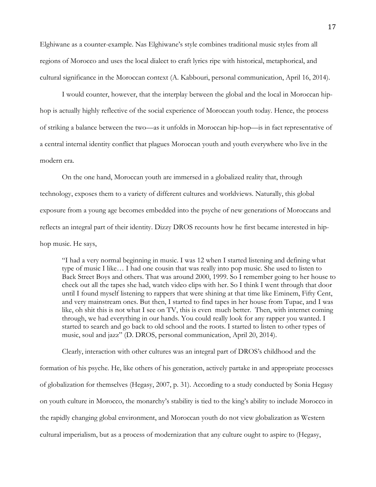Elghiwane as a counter-example. Nas Elghiwane's style combines traditional music styles from all regions of Morocco and uses the local dialect to craft lyrics ripe with historical, metaphorical, and cultural significance in the Moroccan context (A. Kabbouri, personal communication, April 16, 2014).

I would counter, however, that the interplay between the global and the local in Moroccan hiphop is actually highly reflective of the social experience of Moroccan youth today. Hence, the process of striking a balance between the two—as it unfolds in Moroccan hip-hop—is in fact representative of a central internal identity conflict that plagues Moroccan youth and youth everywhere who live in the modern era.

On the one hand, Moroccan youth are immersed in a globalized reality that, through technology, exposes them to a variety of different cultures and worldviews. Naturally, this global exposure from a young age becomes embedded into the psyche of new generations of Moroccans and reflects an integral part of their identity. Dizzy DROS recounts how he first became interested in hiphop music. He says,

"I had a very normal beginning in music. I was 12 when I started listening and defining what type of music I like… I had one cousin that was really into pop music. She used to listen to Back Street Boys and others. That was around 2000, 1999. So I remember going to her house to check out all the tapes she had, watch video clips with her. So I think I went through that door until I found myself listening to rappers that were shining at that time like Eminem, Fifty Cent, and very mainstream ones. But then, I started to find tapes in her house from Tupac, and I was like, oh shit this is not what I see on TV, this is even much better. Then, with internet coming through, we had everything in our hands. You could really look for any rapper you wanted. I started to search and go back to old school and the roots. I started to listen to other types of music, soul and jazz" (D. DROS, personal communication, April 20, 2014).

Clearly, interaction with other cultures was an integral part of DROS's childhood and the formation of his psyche. He, like others of his generation, actively partake in and appropriate processes of globalization for themselves (Hegasy, 2007, p. 31). According to a study conducted by Sonia Hegasy on youth culture in Morocco, the monarchy's stability is tied to the king's ability to include Morocco in the rapidly changing global environment, and Moroccan youth do not view globalization as Western cultural imperialism, but as a process of modernization that any culture ought to aspire to (Hegasy,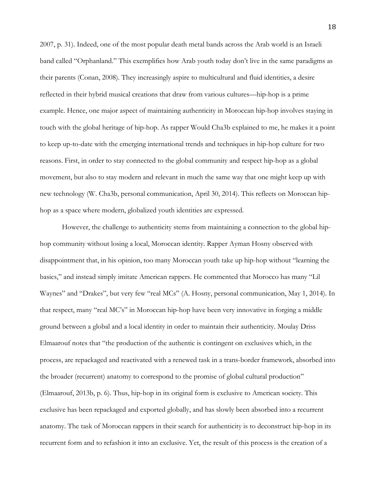2007, p. 31). Indeed, one of the most popular death metal bands across the Arab world is an Israeli band called "Orphanland." This exemplifies how Arab youth today don't live in the same paradigms as their parents (Conan, 2008). They increasingly aspire to multicultural and fluid identities, a desire reflected in their hybrid musical creations that draw from various cultures—hip-hop is a prime example. Hence, one major aspect of maintaining authenticity in Moroccan hip-hop involves staying in touch with the global heritage of hip-hop. As rapper Would Cha3b explained to me, he makes it a point to keep up-to-date with the emerging international trends and techniques in hip-hop culture for two reasons. First, in order to stay connected to the global community and respect hip-hop as a global movement, but also to stay modern and relevant in much the same way that one might keep up with new technology (W. Cha3b, personal communication, April 30, 2014). This reflects on Moroccan hiphop as a space where modern, globalized youth identities are expressed.

However, the challenge to authenticity stems from maintaining a connection to the global hiphop community without losing a local, Moroccan identity. Rapper Ayman Hosny observed with disappointment that, in his opinion, too many Moroccan youth take up hip-hop without "learning the basics," and instead simply imitate American rappers. He commented that Morocco has many "Lil Waynes" and "Drakes", but very few "real MCs" (A. Hosny, personal communication, May 1, 2014). In that respect, many "real MC's" in Moroccan hip-hop have been very innovative in forging a middle ground between a global and a local identity in order to maintain their authenticity. Moulay Driss Elmaarouf notes that "the production of the authentic is contingent on exclusives which, in the process, are repackaged and reactivated with a renewed task in a trans-border framework, absorbed into the broader (recurrent) anatomy to correspond to the promise of global cultural production" (Elmaarouf, 2013b, p. 6). Thus, hip-hop in its original form is exclusive to American society. This exclusive has been repackaged and exported globally, and has slowly been absorbed into a recurrent anatomy. The task of Moroccan rappers in their search for authenticity is to deconstruct hip-hop in its recurrent form and to refashion it into an exclusive. Yet, the result of this process is the creation of a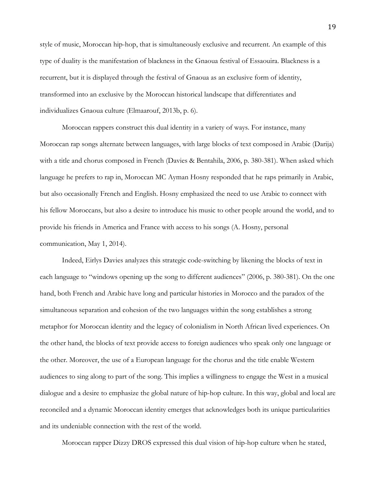style of music, Moroccan hip-hop, that is simultaneously exclusive and recurrent. An example of this type of duality is the manifestation of blackness in the Gnaoua festival of Essaouira. Blackness is a recurrent, but it is displayed through the festival of Gnaoua as an exclusive form of identity, transformed into an exclusive by the Moroccan historical landscape that differentiates and individualizes Gnaoua culture (Elmaarouf, 2013b, p. 6).

Moroccan rappers construct this dual identity in a variety of ways. For instance, many Moroccan rap songs alternate between languages, with large blocks of text composed in Arabic (Darija) with a title and chorus composed in French (Davies & Bentahila, 2006, p. 380-381). When asked which language he prefers to rap in, Moroccan MC Ayman Hosny responded that he raps primarily in Arabic, but also occasionally French and English. Hosny emphasized the need to use Arabic to connect with his fellow Moroccans, but also a desire to introduce his music to other people around the world, and to provide his friends in America and France with access to his songs (A. Hosny, personal communication, May 1, 2014).

Indeed, Eirlys Davies analyzes this strategic code-switching by likening the blocks of text in each language to "windows opening up the song to different audiences" (2006, p. 380-381). On the one hand, both French and Arabic have long and particular histories in Morocco and the paradox of the simultaneous separation and cohesion of the two languages within the song establishes a strong metaphor for Moroccan identity and the legacy of colonialism in North African lived experiences. On the other hand, the blocks of text provide access to foreign audiences who speak only one language or the other. Moreover, the use of a European language for the chorus and the title enable Western audiences to sing along to part of the song. This implies a willingness to engage the West in a musical dialogue and a desire to emphasize the global nature of hip-hop culture. In this way, global and local are reconciled and a dynamic Moroccan identity emerges that acknowledges both its unique particularities and its undeniable connection with the rest of the world.

Moroccan rapper Dizzy DROS expressed this dual vision of hip-hop culture when he stated,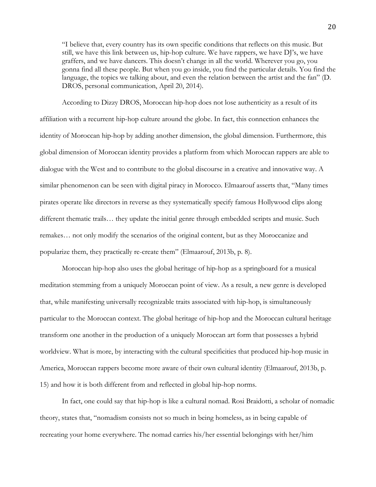"I believe that, every country has its own specific conditions that reflects on this music. But still, we have this link between us, hip-hop culture. We have rappers, we have DJ's, we have graffers, and we have dancers. This doesn't change in all the world. Wherever you go, you gonna find all these people. But when you go inside, you find the particular details. You find the language, the topics we talking about, and even the relation between the artist and the fan" (D. DROS, personal communication, April 20, 2014).

According to Dizzy DROS, Moroccan hip-hop does not lose authenticity as a result of its affiliation with a recurrent hip-hop culture around the globe. In fact, this connection enhances the identity of Moroccan hip-hop by adding another dimension, the global dimension. Furthermore, this global dimension of Moroccan identity provides a platform from which Moroccan rappers are able to dialogue with the West and to contribute to the global discourse in a creative and innovative way. A similar phenomenon can be seen with digital piracy in Morocco. Elmaarouf asserts that, "Many times pirates operate like directors in reverse as they systematically specify famous Hollywood clips along different thematic trails… they update the initial genre through embedded scripts and music. Such remakes… not only modify the scenarios of the original content, but as they Moroccanize and popularize them, they practically re-create them" (Elmaarouf, 2013b, p. 8).

Moroccan hip-hop also uses the global heritage of hip-hop as a springboard for a musical meditation stemming from a uniquely Moroccan point of view. As a result, a new genre is developed that, while manifesting universally recognizable traits associated with hip-hop, is simultaneously particular to the Moroccan context. The global heritage of hip-hop and the Moroccan cultural heritage transform one another in the production of a uniquely Moroccan art form that possesses a hybrid worldview. What is more, by interacting with the cultural specificities that produced hip-hop music in America, Moroccan rappers become more aware of their own cultural identity (Elmaarouf, 2013b, p. 15) and how it is both different from and reflected in global hip-hop norms.

In fact, one could say that hip-hop is like a cultural nomad. Rosi Braidotti, a scholar of nomadic theory, states that, "nomadism consists not so much in being homeless, as in being capable of recreating your home everywhere. The nomad carries his/her essential belongings with her/him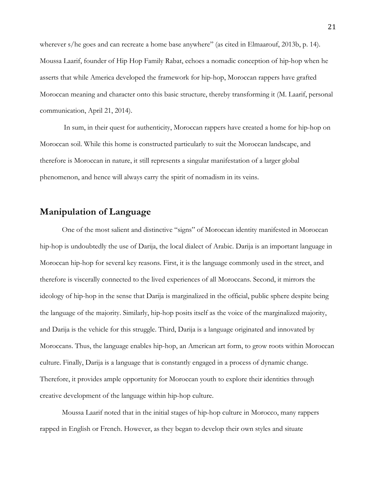wherever s/he goes and can recreate a home base anywhere" (as cited in Elmaarouf, 2013b, p. 14). Moussa Laarif, founder of Hip Hop Family Rabat, echoes a nomadic conception of hip-hop when he asserts that while America developed the framework for hip-hop, Moroccan rappers have grafted Moroccan meaning and character onto this basic structure, thereby transforming it (M. Laarif, personal communication, April 21, 2014).

In sum, in their quest for authenticity, Moroccan rappers have created a home for hip-hop on Moroccan soil. While this home is constructed particularly to suit the Moroccan landscape, and therefore is Moroccan in nature, it still represents a singular manifestation of a larger global phenomenon, and hence will always carry the spirit of nomadism in its veins.

## **Manipulation of Language**

One of the most salient and distinctive "signs" of Moroccan identity manifested in Moroccan hip-hop is undoubtedly the use of Darija, the local dialect of Arabic. Darija is an important language in Moroccan hip-hop for several key reasons. First, it is the language commonly used in the street, and therefore is viscerally connected to the lived experiences of all Moroccans. Second, it mirrors the ideology of hip-hop in the sense that Darija is marginalized in the official, public sphere despite being the language of the majority. Similarly, hip-hop posits itself as the voice of the marginalized majority, and Darija is the vehicle for this struggle. Third, Darija is a language originated and innovated by Moroccans. Thus, the language enables hip-hop, an American art form, to grow roots within Moroccan culture. Finally, Darija is a language that is constantly engaged in a process of dynamic change. Therefore, it provides ample opportunity for Moroccan youth to explore their identities through creative development of the language within hip-hop culture.

Moussa Laarif noted that in the initial stages of hip-hop culture in Morocco, many rappers rapped in English or French. However, as they began to develop their own styles and situate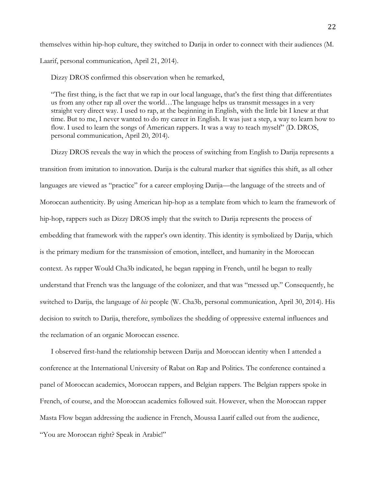themselves within hip-hop culture, they switched to Darija in order to connect with their audiences (M. Laarif, personal communication, April 21, 2014).

Dizzy DROS confirmed this observation when he remarked,

"The first thing, is the fact that we rap in our local language, that's the first thing that differentiates us from any other rap all over the world…The language helps us transmit messages in a very straight very direct way. I used to rap, at the beginning in English, with the little bit I knew at that time. But to me, I never wanted to do my career in English. It was just a step, a way to learn how to flow. I used to learn the songs of American rappers. It was a way to teach myself" (D. DROS, personal communication, April 20, 2014).

Dizzy DROS reveals the way in which the process of switching from English to Darija represents a transition from imitation to innovation. Darija is the cultural marker that signifies this shift, as all other languages are viewed as "practice" for a career employing Darija—the language of the streets and of Moroccan authenticity. By using American hip-hop as a template from which to learn the framework of hip-hop, rappers such as Dizzy DROS imply that the switch to Darija represents the process of embedding that framework with the rapper's own identity. This identity is symbolized by Darija, which is the primary medium for the transmission of emotion, intellect, and humanity in the Moroccan context. As rapper Would Cha3b indicated, he began rapping in French, until he began to really understand that French was the language of the colonizer, and that was "messed up." Consequently, he switched to Darija, the language of *his* people (W. Cha3b, personal communication, April 30, 2014). His decision to switch to Darija, therefore, symbolizes the shedding of oppressive external influences and the reclamation of an organic Moroccan essence.

I observed first-hand the relationship between Darija and Moroccan identity when I attended a conference at the International University of Rabat on Rap and Politics. The conference contained a panel of Moroccan academics, Moroccan rappers, and Belgian rappers. The Belgian rappers spoke in French, of course, and the Moroccan academics followed suit. However, when the Moroccan rapper Masta Flow began addressing the audience in French, Moussa Laarif called out from the audience, "You are Moroccan right? Speak in Arabic!"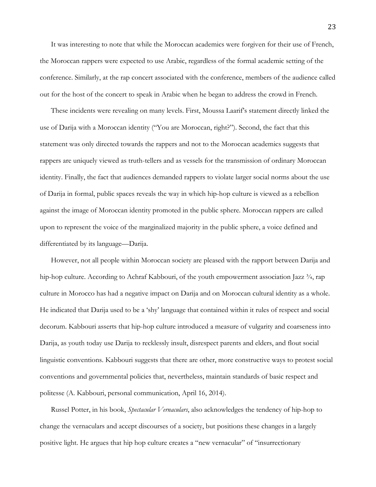It was interesting to note that while the Moroccan academics were forgiven for their use of French, the Moroccan rappers were expected to use Arabic, regardless of the formal academic setting of the conference. Similarly, at the rap concert associated with the conference, members of the audience called out for the host of the concert to speak in Arabic when he began to address the crowd in French.

These incidents were revealing on many levels. First, Moussa Laarif's statement directly linked the use of Darija with a Moroccan identity ("You are Moroccan, right?"). Second, the fact that this statement was only directed towards the rappers and not to the Moroccan academics suggests that rappers are uniquely viewed as truth-tellers and as vessels for the transmission of ordinary Moroccan identity. Finally, the fact that audiences demanded rappers to violate larger social norms about the use of Darija in formal, public spaces reveals the way in which hip-hop culture is viewed as a rebellion against the image of Moroccan identity promoted in the public sphere. Moroccan rappers are called upon to represent the voice of the marginalized majority in the public sphere, a voice defined and differentiated by its language—Darija.

However, not all people within Moroccan society are pleased with the rapport between Darija and hip-hop culture. According to Achraf Kabbouri, of the youth empowerment association Jazz  $\frac{3}{4}$ , rap culture in Morocco has had a negative impact on Darija and on Moroccan cultural identity as a whole. He indicated that Darija used to be a 'shy' language that contained within it rules of respect and social decorum. Kabbouri asserts that hip-hop culture introduced a measure of vulgarity and coarseness into Darija, as youth today use Darija to recklessly insult, disrespect parents and elders, and flout social linguistic conventions. Kabbouri suggests that there are other, more constructive ways to protest social conventions and governmental policies that, nevertheless, maintain standards of basic respect and politesse (A. Kabbouri, personal communication, April 16, 2014).

Russel Potter, in his book, *Spectacular Vernaculars*, also acknowledges the tendency of hip-hop to change the vernaculars and accept discourses of a society, but positions these changes in a largely positive light. He argues that hip hop culture creates a "new vernacular" of "insurrectionary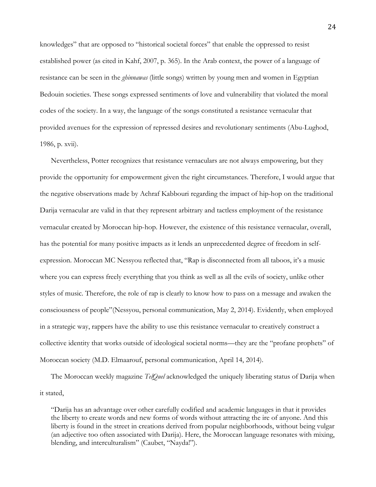knowledges" that are opposed to "historical societal forces" that enable the oppressed to resist established power (as cited in Kahf, 2007, p. 365). In the Arab context, the power of a language of resistance can be seen in the *ghinnawas* (little songs) written by young men and women in Egyptian Bedouin societies. These songs expressed sentiments of love and vulnerability that violated the moral codes of the society. In a way, the language of the songs constituted a resistance vernacular that provided avenues for the expression of repressed desires and revolutionary sentiments (Abu-Lughod, 1986, p. xvii).

Nevertheless, Potter recognizes that resistance vernaculars are not always empowering, but they provide the opportunity for empowerment given the right circumstances. Therefore, I would argue that the negative observations made by Achraf Kabbouri regarding the impact of hip-hop on the traditional Darija vernacular are valid in that they represent arbitrary and tactless employment of the resistance vernacular created by Moroccan hip-hop. However, the existence of this resistance vernacular, overall, has the potential for many positive impacts as it lends an unprecedented degree of freedom in selfexpression. Moroccan MC Nessyou reflected that, "Rap is disconnected from all taboos, it's a music where you can express freely everything that you think as well as all the evils of society, unlike other styles of music. Therefore, the role of rap is clearly to know how to pass on a message and awaken the consciousness of people"(Nessyou, personal communication, May 2, 2014). Evidently, when employed in a strategic way, rappers have the ability to use this resistance vernacular to creatively construct a collective identity that works outside of ideological societal norms—they are the "profane prophets" of Moroccan society (M.D. Elmaarouf, personal communication, April 14, 2014).

The Moroccan weekly magazine *TelQuel* acknowledged the uniquely liberating status of Darija when it stated,

"Darija has an advantage over other carefully codified and academic languages in that it provides the liberty to create words and new forms of words without attracting the ire of anyone. And this liberty is found in the street in creations derived from popular neighborhoods, without being vulgar (an adjective too often associated with Darija). Here, the Moroccan language resonates with mixing, blending, and interculturalism" (Caubet, "Nayda!").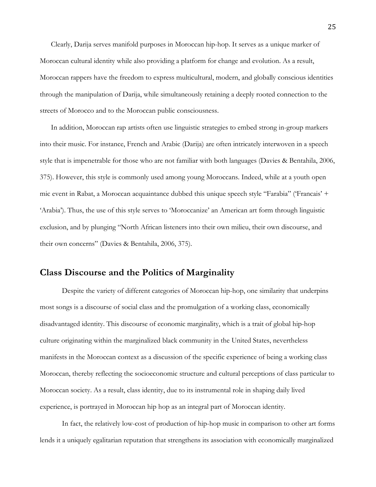Clearly, Darija serves manifold purposes in Moroccan hip-hop. It serves as a unique marker of Moroccan cultural identity while also providing a platform for change and evolution. As a result, Moroccan rappers have the freedom to express multicultural, modern, and globally conscious identities through the manipulation of Darija, while simultaneously retaining a deeply rooted connection to the streets of Morocco and to the Moroccan public consciousness.

In addition, Moroccan rap artists often use linguistic strategies to embed strong in-group markers into their music. For instance, French and Arabic (Darija) are often intricately interwoven in a speech style that is impenetrable for those who are not familiar with both languages (Davies & Bentahila, 2006, 375). However, this style is commonly used among young Moroccans. Indeed, while at a youth open mic event in Rabat, a Moroccan acquaintance dubbed this unique speech style "Farabia" ('Francais' + 'Arabia'). Thus, the use of this style serves to 'Moroccanize' an American art form through linguistic exclusion, and by plunging "North African listeners into their own milieu, their own discourse, and their own concerns" (Davies & Bentahila, 2006, 375).

## **Class Discourse and the Politics of Marginality**

Despite the variety of different categories of Moroccan hip-hop, one similarity that underpins most songs is a discourse of social class and the promulgation of a working class, economically disadvantaged identity. This discourse of economic marginality, which is a trait of global hip-hop culture originating within the marginalized black community in the United States, nevertheless manifests in the Moroccan context as a discussion of the specific experience of being a working class Moroccan, thereby reflecting the socioeconomic structure and cultural perceptions of class particular to Moroccan society. As a result, class identity, due to its instrumental role in shaping daily lived experience, is portrayed in Moroccan hip hop as an integral part of Moroccan identity.

In fact, the relatively low-cost of production of hip-hop music in comparison to other art forms lends it a uniquely egalitarian reputation that strengthens its association with economically marginalized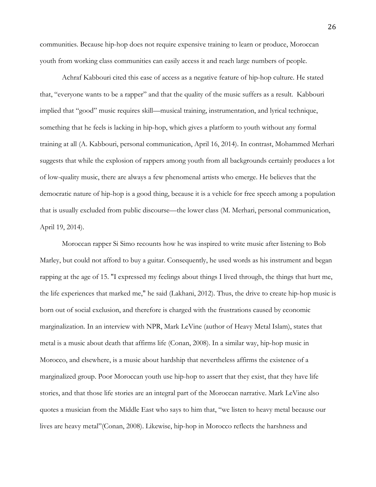communities. Because hip-hop does not require expensive training to learn or produce, Moroccan youth from working class communities can easily access it and reach large numbers of people.

Achraf Kabbouri cited this ease of access as a negative feature of hip-hop culture. He stated that, "everyone wants to be a rapper" and that the quality of the music suffers as a result. Kabbouri implied that "good" music requires skill—musical training, instrumentation, and lyrical technique, something that he feels is lacking in hip-hop, which gives a platform to youth without any formal training at all (A. Kabbouri, personal communication, April 16, 2014). In contrast, Mohammed Merhari suggests that while the explosion of rappers among youth from all backgrounds certainly produces a lot of low-quality music, there are always a few phenomenal artists who emerge. He believes that the democratic nature of hip-hop is a good thing, because it is a vehicle for free speech among a population that is usually excluded from public discourse—the lower class (M. Merhari, personal communication, April 19, 2014).

Moroccan rapper Si Simo recounts how he was inspired to write music after listening to Bob Marley, but could not afford to buy a guitar. Consequently, he used words as his instrument and began rapping at the age of 15. "I expressed my feelings about things I lived through, the things that hurt me, the life experiences that marked me," he said (Lakhani, 2012). Thus, the drive to create hip-hop music is born out of social exclusion, and therefore is charged with the frustrations caused by economic marginalization. In an interview with NPR, Mark LeVine (author of Heavy Metal Islam), states that metal is a music about death that affirms life (Conan, 2008). In a similar way, hip-hop music in Morocco, and elsewhere, is a music about hardship that nevertheless affirms the existence of a marginalized group. Poor Moroccan youth use hip-hop to assert that they exist, that they have life stories, and that those life stories are an integral part of the Moroccan narrative. Mark LeVine also quotes a musician from the Middle East who says to him that, "we listen to heavy metal because our lives are heavy metal"(Conan, 2008). Likewise, hip-hop in Morocco reflects the harshness and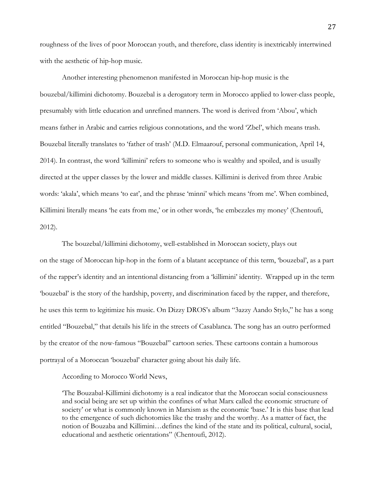roughness of the lives of poor Moroccan youth, and therefore, class identity is inextricably intertwined with the aesthetic of hip-hop music.

Another interesting phenomenon manifested in Moroccan hip-hop music is the bouzebal/killimini dichotomy. Bouzebal is a derogatory term in Morocco applied to lower-class people, presumably with little education and unrefined manners. The word is derived from 'Abou', which means father in Arabic and carries religious connotations, and the word 'Zbel', which means trash. Bouzebal literally translates to 'father of trash' (M.D. Elmaarouf, personal communication, April 14, 2014). In contrast, the word 'killimini' refers to someone who is wealthy and spoiled, and is usually directed at the upper classes by the lower and middle classes. Killimini is derived from three Arabic words: 'akala', which means 'to eat', and the phrase 'minni' which means 'from me'. When combined, Killimini literally means 'he eats from me,' or in other words, 'he embezzles my money' (Chentoufi, 2012).

The bouzebal/killimini dichotomy, well-established in Moroccan society, plays out on the stage of Moroccan hip-hop in the form of a blatant acceptance of this term, 'bouzebal', as a part of the rapper's identity and an intentional distancing from a 'killimini' identity. Wrapped up in the term 'bouzebal' is the story of the hardship, poverty, and discrimination faced by the rapper, and therefore, he uses this term to legitimize his music. On Dizzy DROS's album "3azzy Aando Stylo," he has a song entitled "Bouzebal," that details his life in the streets of Casablanca. The song has an outro performed by the creator of the now-famous "Bouzebal" cartoon series. These cartoons contain a humorous portrayal of a Moroccan 'bouzebal' character going about his daily life.

According to Morocco World News,

'The Bouzabal-Killimini dichotomy is a real indicator that the Moroccan social consciousness and social being are set up within the confines of what Marx called the economic structure of society' or what is commonly known in Marxism as the economic 'base.' It is this base that lead to the emergence of such dichotomies like the trashy and the worthy. As a matter of fact, the notion of Bouzaba and Killimini…defines the kind of the state and its political, cultural, social, educational and aesthetic orientations" (Chentoufi, 2012).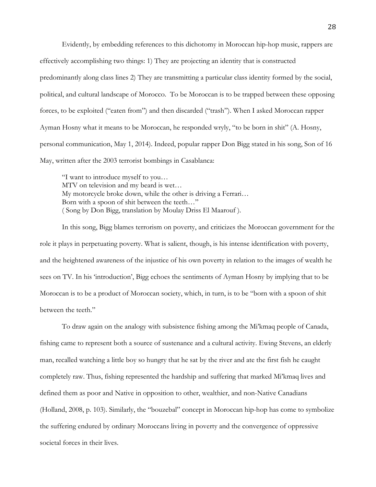Evidently, by embedding references to this dichotomy in Moroccan hip-hop music, rappers are effectively accomplishing two things: 1) They are projecting an identity that is constructed predominantly along class lines 2) They are transmitting a particular class identity formed by the social, political, and cultural landscape of Morocco. To be Moroccan is to be trapped between these opposing forces, to be exploited ("eaten from") and then discarded ("trash"). When I asked Moroccan rapper Ayman Hosny what it means to be Moroccan, he responded wryly, "to be born in shit" (A. Hosny, personal communication, May 1, 2014). Indeed, popular rapper Don Bigg stated in his song, Son of 16 May, written after the 2003 terrorist bombings in Casablanca:

"I want to introduce myself to you… MTV on television and my beard is wet… My motorcycle broke down, while the other is driving a Ferrari… Born with a spoon of shit between the teeth…" ( Song by Don Bigg, translation by Moulay Driss El Maarouf ).

In this song, Bigg blames terrorism on poverty, and criticizes the Moroccan government for the role it plays in perpetuating poverty. What is salient, though, is his intense identification with poverty, and the heightened awareness of the injustice of his own poverty in relation to the images of wealth he sees on TV. In his 'introduction', Bigg echoes the sentiments of Ayman Hosny by implying that to be Moroccan is to be a product of Moroccan society, which, in turn, is to be "born with a spoon of shit between the teeth."

To draw again on the analogy with subsistence fishing among the Mi'kmaq people of Canada, fishing came to represent both a source of sustenance and a cultural activity. Ewing Stevens, an elderly man, recalled watching a little boy so hungry that he sat by the river and ate the first fish he caught completely raw. Thus, fishing represented the hardship and suffering that marked Mi'kmaq lives and defined them as poor and Native in opposition to other, wealthier, and non-Native Canadians (Holland, 2008, p. 103). Similarly, the "bouzebal" concept in Moroccan hip-hop has come to symbolize the suffering endured by ordinary Moroccans living in poverty and the convergence of oppressive societal forces in their lives.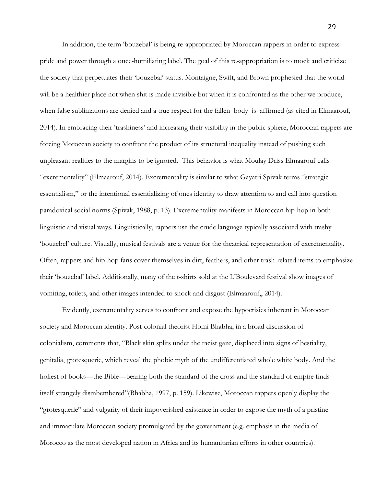In addition, the term 'bouzebal' is being re-appropriated by Moroccan rappers in order to express pride and power through a once-humiliating label. The goal of this re-appropriation is to mock and criticize the society that perpetuates their 'bouzebal' status. Montaigne, Swift, and Brown prophesied that the world will be a healthier place not when shit is made invisible but when it is confronted as the other we produce, when false sublimations are denied and a true respect for the fallen body is affirmed (as cited in Elmaarouf, 2014). In embracing their 'trashiness' and increasing their visibility in the public sphere, Moroccan rappers are forcing Moroccan society to confront the product of its structural inequality instead of pushing such unpleasant realities to the margins to be ignored. This behavior is what Moulay Driss Elmaarouf calls "excrementality" (Elmaarouf, 2014). Excrementality is similar to what Gayatri Spivak terms "strategic essentialism," or the intentional essentializing of ones identity to draw attention to and call into question paradoxical social norms (Spivak, 1988, p. 13). Excrementality manifests in Moroccan hip-hop in both linguistic and visual ways. Linguistically, rappers use the crude language typically associated with trashy 'bouzebel' culture. Visually, musical festivals are a venue for the theatrical representation of excrementality. Often, rappers and hip-hop fans cover themselves in dirt, feathers, and other trash-related items to emphasize their 'bouzebal' label. Additionally, many of the t-shirts sold at the L'Boulevard festival show images of vomiting, toilets, and other images intended to shock and disgust (Elmaarouf,, 2014).

Evidently, excrementality serves to confront and expose the hypocrisies inherent in Moroccan society and Moroccan identity. Post-colonial theorist Homi Bhabha, in a broad discussion of colonialism, comments that, "Black skin splits under the racist gaze, displaced into signs of bestiality, genitalia, grotesquerie, which reveal the phobic myth of the undifferentiated whole white body. And the holiest of books—the Bible—bearing both the standard of the cross and the standard of empire finds itself strangely dismbembered"(Bhabha, 1997, p. 159). Likewise, Moroccan rappers openly display the "grotesquerie" and vulgarity of their impoverished existence in order to expose the myth of a pristine and immaculate Moroccan society promulgated by the government (e.g. emphasis in the media of Morocco as the most developed nation in Africa and its humanitarian efforts in other countries).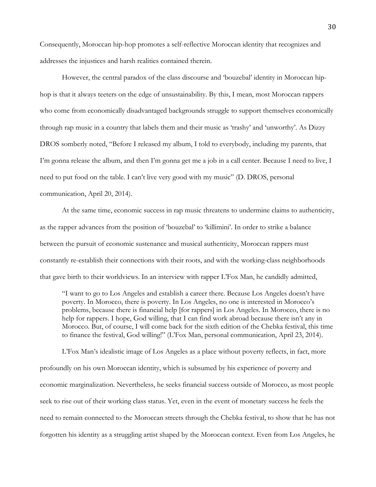Consequently, Moroccan hip-hop promotes a self-reflective Moroccan identity that recognizes and addresses the injustices and harsh realities contained therein.

However, the central paradox of the class discourse and 'bouzebal' identity in Moroccan hiphop is that it always teeters on the edge of unsustainability. By this, I mean, most Moroccan rappers who come from economically disadvantaged backgrounds struggle to support themselves economically through rap music in a country that labels them and their music as 'trashy' and 'unworthy'. As Dizzy DROS somberly noted, "Before I released my album, I told to everybody, including my parents, that I'm gonna release the album, and then I'm gonna get me a job in a call center. Because I need to live, I need to put food on the table. I can't live very good with my music" (D. DROS, personal communication, April 20, 2014).

At the same time, economic success in rap music threatens to undermine claims to authenticity, as the rapper advances from the position of 'bouzebal' to 'killimini'. In order to strike a balance between the pursuit of economic sustenance and musical authenticity, Moroccan rappers must constantly re-establish their connections with their roots, and with the working-class neighborhoods that gave birth to their worldviews. In an interview with rapper L'Fox Man, he candidly admitted,

"I want to go to Los Angeles and establish a career there. Because Los Angeles doesn't have poverty. In Morocco, there is poverty. In Los Angeles, no one is interested in Morocco's problems, because there is financial help [for rappers] in Los Angeles. In Morocco, there is no help for rappers. I hope, God willing, that I can find work abroad because there isn't any in Morocco. But, of course, I will come back for the sixth edition of the Chebka festival, this time to finance the festival, God willing!" (L'Fox Man, personal communication, April 23, 2014).

L'Fox Man's idealistic image of Los Angeles as a place without poverty reflects, in fact, more profoundly on his own Moroccan identity, which is subsumed by his experience of poverty and economic marginalization. Nevertheless, he seeks financial success outside of Morocco, as most people seek to rise out of their working class status. Yet, even in the event of monetary success he feels the need to remain connected to the Moroccan streets through the Chebka festival, to show that he has not forgotten his identity as a struggling artist shaped by the Moroccan context. Even from Los Angeles, he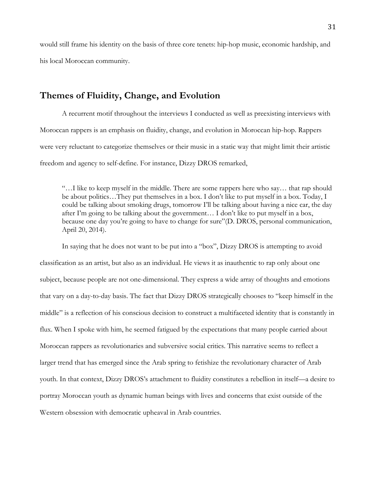would still frame his identity on the basis of three core tenets: hip-hop music, economic hardship, and his local Moroccan community.

## **Themes of Fluidity, Change, and Evolution**

A recurrent motif throughout the interviews I conducted as well as preexisting interviews with Moroccan rappers is an emphasis on fluidity, change, and evolution in Moroccan hip-hop. Rappers were very reluctant to categorize themselves or their music in a static way that might limit their artistic freedom and agency to self-define. For instance, Dizzy DROS remarked,

"…I like to keep myself in the middle. There are some rappers here who say… that rap should be about politics…They put themselves in a box. I don't like to put myself in a box. Today, I could be talking about smoking drugs, tomorrow I'll be talking about having a nice car, the day after I'm going to be talking about the government… I don't like to put myself in a box, because one day you're going to have to change for sure"(D. DROS, personal communication, April 20, 2014).

In saying that he does not want to be put into a "box", Dizzy DROS is attempting to avoid classification as an artist, but also as an individual. He views it as inauthentic to rap only about one subject, because people are not one-dimensional. They express a wide array of thoughts and emotions that vary on a day-to-day basis. The fact that Dizzy DROS strategically chooses to "keep himself in the middle" is a reflection of his conscious decision to construct a multifaceted identity that is constantly in flux. When I spoke with him, he seemed fatigued by the expectations that many people carried about Moroccan rappers as revolutionaries and subversive social critics. This narrative seems to reflect a larger trend that has emerged since the Arab spring to fetishize the revolutionary character of Arab youth. In that context, Dizzy DROS's attachment to fluidity constitutes a rebellion in itself—a desire to portray Moroccan youth as dynamic human beings with lives and concerns that exist outside of the Western obsession with democratic upheaval in Arab countries.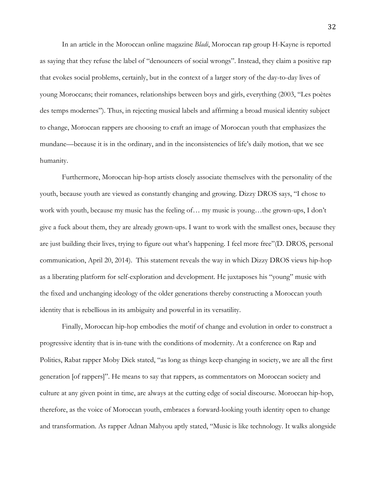In an article in the Moroccan online magazine *Bladi*, Moroccan rap group H-Kayne is reported as saying that they refuse the label of "denouncers of social wrongs". Instead, they claim a positive rap that evokes social problems, certainly, but in the context of a larger story of the day-to-day lives of young Moroccans; their romances, relationships between boys and girls, everything (2003, "Les poètes des temps modernes"). Thus, in rejecting musical labels and affirming a broad musical identity subject to change, Moroccan rappers are choosing to craft an image of Moroccan youth that emphasizes the mundane—because it is in the ordinary, and in the inconsistencies of life's daily motion, that we see humanity.

Furthermore, Moroccan hip-hop artists closely associate themselves with the personality of the youth, because youth are viewed as constantly changing and growing. Dizzy DROS says, "I chose to work with youth, because my music has the feeling of… my music is young…the grown-ups, I don't give a fuck about them, they are already grown-ups. I want to work with the smallest ones, because they are just building their lives, trying to figure out what's happening. I feel more free"(D. DROS, personal communication, April 20, 2014). This statement reveals the way in which Dizzy DROS views hip-hop as a liberating platform for self-exploration and development. He juxtaposes his "young" music with the fixed and unchanging ideology of the older generations thereby constructing a Moroccan youth identity that is rebellious in its ambiguity and powerful in its versatility.

Finally, Moroccan hip-hop embodies the motif of change and evolution in order to construct a progressive identity that is in-tune with the conditions of modernity. At a conference on Rap and Politics, Rabat rapper Moby Dick stated, "as long as things keep changing in society, we are all the first generation [of rappers]". He means to say that rappers, as commentators on Moroccan society and culture at any given point in time, are always at the cutting edge of social discourse. Moroccan hip-hop, therefore, as the voice of Moroccan youth, embraces a forward-looking youth identity open to change and transformation. As rapper Adnan Mahyou aptly stated, "Music is like technology. It walks alongside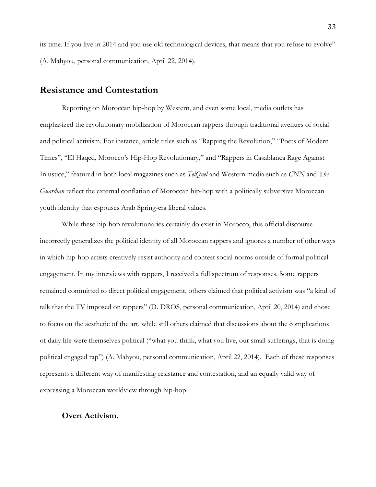its time. If you live in 2014 and you use old technological devices, that means that you refuse to evolve" (A. Mahyou, personal communication, April 22, 2014).

#### **Resistance and Contestation**

Reporting on Moroccan hip-hop by Western, and even some local, media outlets has emphasized the revolutionary mobilization of Moroccan rappers through traditional avenues of social and political activism. For instance, article titles such as "Rapping the Revolution," "Poets of Modern Times", "El Haqed, Morocco's Hip-Hop Revolutionary," and "Rappers in Casablanca Rage Against Injustice," featured in both local magazines such as *TelQuel* and Western media such as *CNN* and T*he Guardian* reflect the external conflation of Moroccan hip-hop with a politically subversive Moroccan youth identity that espouses Arab Spring-era liberal values.

While these hip-hop revolutionaries certainly do exist in Morocco, this official discourse incorrectly generalizes the political identity of all Moroccan rappers and ignores a number of other ways in which hip-hop artists creatively resist authority and contest social norms outside of formal political engagement. In my interviews with rappers, I received a full spectrum of responses. Some rappers remained committed to direct political engagement, others claimed that political activism was "a kind of talk that the TV imposed on rappers" (D. DROS, personal communication, April 20, 2014) and chose to focus on the aesthetic of the art, while still others claimed that discussions about the complications of daily life were themselves political ("what you think, what you live, our small sufferings, that is doing political engaged rap") (A. Mahyou, personal communication, April 22, 2014). Each of these responses represents a different way of manifesting resistance and contestation, and an equally valid way of expressing a Moroccan worldview through hip-hop.

#### **Overt Activism.**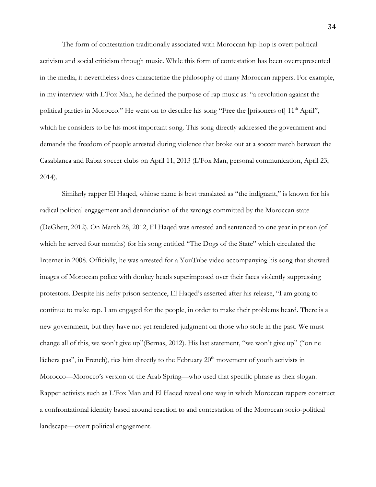The form of contestation traditionally associated with Moroccan hip-hop is overt political activism and social criticism through music. While this form of contestation has been overrepresented in the media, it nevertheless does characterize the philosophy of many Moroccan rappers. For example, in my interview with L'Fox Man, he defined the purpose of rap music as: "a revolution against the political parties in Morocco." He went on to describe his song "Free the [prisoners of] 11<sup>th</sup> April", which he considers to be his most important song. This song directly addressed the government and demands the freedom of people arrested during violence that broke out at a soccer match between the Casablanca and Rabat soccer clubs on April 11, 2013 (L'Fox Man, personal communication, April 23, 2014).

Similarly rapper El Haqed, whiose name is best translated as "the indignant," is known for his radical political engagement and denunciation of the wrongs committed by the Moroccan state (DeGhett, 2012). On March 28, 2012, El Haqed was arrested and sentenced to one year in prison (of which he served four months) for his song entitled "The Dogs of the State" which circulated the Internet in 2008. Officially, he was arrested for a YouTube video accompanying his song that showed images of Moroccan police with donkey heads superimposed over their faces violently suppressing protestors. Despite his hefty prison sentence, El Haqed's asserted after his release, "I am going to continue to make rap. I am engaged for the people, in order to make their problems heard. There is a new government, but they have not yet rendered judgment on those who stole in the past. We must change all of this, we won't give up"(Bernas, 2012). His last statement, "we won't give up" ("on ne lâchera pas", in French), ties him directly to the February  $20<sup>th</sup>$  movement of youth activists in Morocco—Morocco's version of the Arab Spring—who used that specific phrase as their slogan. Rapper activists such as L'Fox Man and El Haqed reveal one way in which Moroccan rappers construct a confrontational identity based around reaction to and contestation of the Moroccan socio-political landscape—overt political engagement.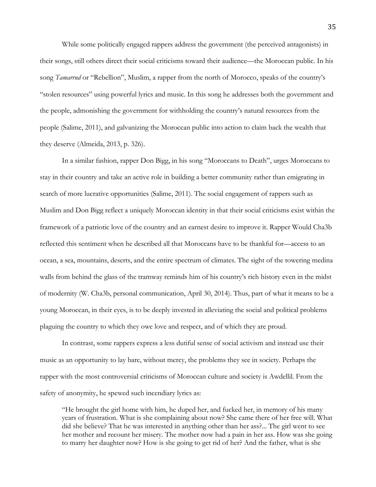While some politically engaged rappers address the government (the perceived antagonists) in their songs, still others direct their social criticisms toward their audience—the Moroccan public. In his song *Tamarrud* or "Rebellion", Muslim, a rapper from the north of Morocco, speaks of the country's "stolen resources" using powerful lyrics and music. In this song he addresses both the government and the people, admonishing the government for withholding the country's natural resources from the people (Salime, 2011), and galvanizing the Moroccan public into action to claim back the wealth that they deserve (Almeida, 2013, p. 326).

In a similar fashion, rapper Don Bigg, in his song "Moroccans to Death", urges Moroccans to stay in their country and take an active role in building a better community rather than emigrating in search of more lucrative opportunities (Salime, 2011). The social engagement of rappers such as Muslim and Don Bigg reflect a uniquely Moroccan identity in that their social criticisms exist within the framework of a patriotic love of the country and an earnest desire to improve it. Rapper Would Cha3b reflected this sentiment when he described all that Moroccans have to be thankful for—access to an ocean, a sea, mountains, deserts, and the entire spectrum of climates. The sight of the towering medina walls from behind the glass of the tramway reminds him of his country's rich history even in the midst of modernity (W. Cha3b, personal communication, April 30, 2014). Thus, part of what it means to be a young Moroccan, in their eyes, is to be deeply invested in alleviating the social and political problems plaguing the country to which they owe love and respect, and of which they are proud.

In contrast, some rappers express a less dutiful sense of social activism and instead use their music as an opportunity to lay bare, without mercy, the problems they see in society. Perhaps the rapper with the most controversial criticisms of Moroccan culture and society is Awdellil. From the safety of anonymity, he spewed such incendiary lyrics as:

"He brought the girl home with him, he duped her, and fucked her, in memory of his many years of frustration. What is she complaining about now? She came there of her free will. What did she believe? That he was interested in anything other than her ass?... The girl went to see her mother and recount her misery. The mother now had a pain in her ass. How was she going to marry her daughter now? How is she going to get rid of her? And the father, what is she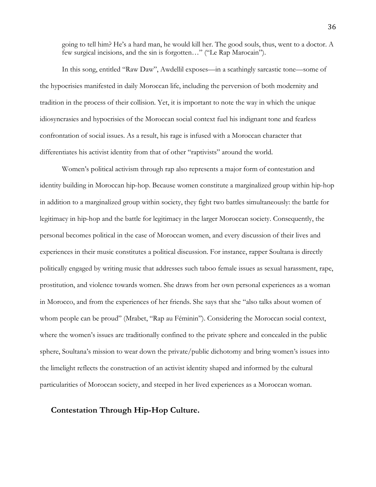going to tell him? He's a hard man, he would kill her. The good souls, thus, went to a doctor. A few surgical incisions, and the sin is forgotten…" ("Le Rap Marocain").

In this song, entitled "Raw Daw", Awdellil exposes—in a scathingly sarcastic tone—some of the hypocrisies manifested in daily Moroccan life, including the perversion of both modernity and tradition in the process of their collision. Yet, it is important to note the way in which the unique idiosyncrasies and hypocrisies of the Moroccan social context fuel his indignant tone and fearless confrontation of social issues. As a result, his rage is infused with a Moroccan character that differentiates his activist identity from that of other "raptivists" around the world.

Women's political activism through rap also represents a major form of contestation and identity building in Moroccan hip-hop. Because women constitute a marginalized group within hip-hop in addition to a marginalized group within society, they fight two battles simultaneously: the battle for legitimacy in hip-hop and the battle for legitimacy in the larger Moroccan society. Consequently, the personal becomes political in the case of Moroccan women, and every discussion of their lives and experiences in their music constitutes a political discussion. For instance, rapper Soultana is directly politically engaged by writing music that addresses such taboo female issues as sexual harassment, rape, prostitution, and violence towards women. She draws from her own personal experiences as a woman in Morocco, and from the experiences of her friends. She says that she "also talks about women of whom people can be proud" (Mrabet, "Rap au Féminin"). Considering the Moroccan social context, where the women's issues are traditionally confined to the private sphere and concealed in the public sphere, Soultana's mission to wear down the private/public dichotomy and bring women's issues into the limelight reflects the construction of an activist identity shaped and informed by the cultural particularities of Moroccan society, and steeped in her lived experiences as a Moroccan woman.

#### **Contestation Through Hip-Hop Culture.**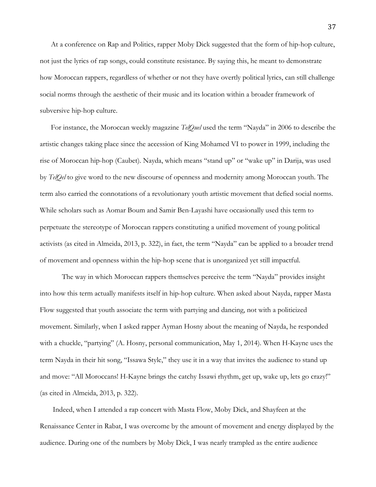At a conference on Rap and Politics, rapper Moby Dick suggested that the form of hip-hop culture, not just the lyrics of rap songs, could constitute resistance. By saying this, he meant to demonstrate how Moroccan rappers, regardless of whether or not they have overtly political lyrics, can still challenge social norms through the aesthetic of their music and its location within a broader framework of subversive hip-hop culture.

For instance, the Moroccan weekly magazine *TelQuel* used the term "Nayda" in 2006 to describe the artistic changes taking place since the accession of King Mohamed VI to power in 1999, including the rise of Moroccan hip-hop (Caubet). Nayda, which means "stand up" or "wake up" in Darija, was used by *TelQel* to give word to the new discourse of openness and modernity among Moroccan youth. The term also carried the connotations of a revolutionary youth artistic movement that defied social norms. While scholars such as Aomar Boum and Samir Ben-Layashi have occasionally used this term to perpetuate the stereotype of Moroccan rappers constituting a unified movement of young political activists (as cited in Almeida, 2013, p. 322), in fact, the term "Nayda" can be applied to a broader trend of movement and openness within the hip-hop scene that is unorganized yet still impactful.

The way in which Moroccan rappers themselves perceive the term "Nayda" provides insight into how this term actually manifests itself in hip-hop culture. When asked about Nayda, rapper Masta Flow suggested that youth associate the term with partying and dancing, not with a politicized movement. Similarly, when I asked rapper Ayman Hosny about the meaning of Nayda, he responded with a chuckle, "partying" (A. Hosny, personal communication, May 1, 2014). When H-Kayne uses the term Nayda in their hit song, "Issawa Style," they use it in a way that invites the audience to stand up and move: "All Moroccans! H-Kayne brings the catchy Issawi rhythm, get up, wake up, lets go crazy!" (as cited in Almeida, 2013, p. 322).

Indeed, when I attended a rap concert with Masta Flow, Moby Dick, and Shayfeen at the Renaissance Center in Rabat, I was overcome by the amount of movement and energy displayed by the audience. During one of the numbers by Moby Dick, I was nearly trampled as the entire audience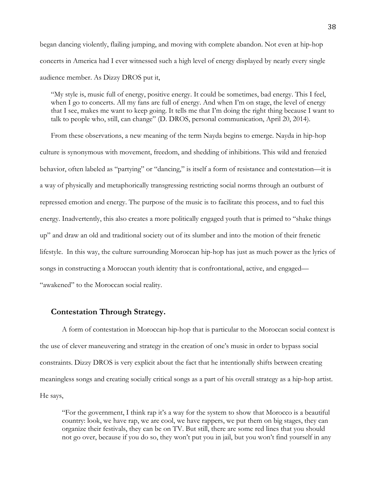began dancing violently, flailing jumping, and moving with complete abandon. Not even at hip-hop concerts in America had I ever witnessed such a high level of energy displayed by nearly every single audience member. As Dizzy DROS put it,

"My style is, music full of energy, positive energy. It could be sometimes, bad energy. This I feel, when I go to concerts. All my fans are full of energy. And when I'm on stage, the level of energy that I see, makes me want to keep going. It tells me that I'm doing the right thing because I want to talk to people who, still, can change" (D. DROS, personal communication, April 20, 2014).

From these observations, a new meaning of the term Nayda begins to emerge. Nayda in hip-hop culture is synonymous with movement, freedom, and shedding of inhibitions. This wild and frenzied behavior, often labeled as "partying" or "dancing," is itself a form of resistance and contestation—it is a way of physically and metaphorically transgressing restricting social norms through an outburst of repressed emotion and energy. The purpose of the music is to facilitate this process, and to fuel this energy. Inadvertently, this also creates a more politically engaged youth that is primed to "shake things up" and draw an old and traditional society out of its slumber and into the motion of their frenetic lifestyle. In this way, the culture surrounding Moroccan hip-hop has just as much power as the lyrics of songs in constructing a Moroccan youth identity that is confrontational, active, and engaged— "awakened" to the Moroccan social reality.

#### **Contestation Through Strategy.**

A form of contestation in Moroccan hip-hop that is particular to the Moroccan social context is the use of clever maneuvering and strategy in the creation of one's music in order to bypass social constraints. Dizzy DROS is very explicit about the fact that he intentionally shifts between creating meaningless songs and creating socially critical songs as a part of his overall strategy as a hip-hop artist. He says,

"For the government, I think rap it's a way for the system to show that Morocco is a beautiful country: look, we have rap, we are cool, we have rappers, we put them on big stages, they can organize their festivals, they can be on TV. But still, there are some red lines that you should not go over, because if you do so, they won't put you in jail, but you won't find yourself in any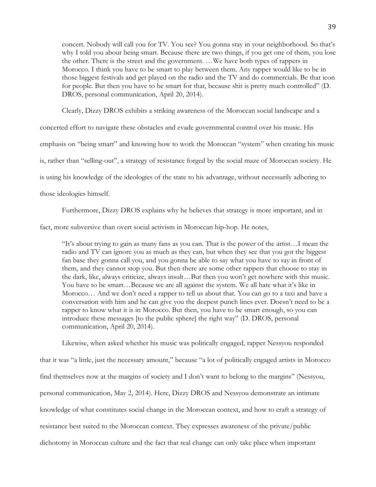concert. Nobody will call you for TV. You see? You gonna stay in your neighborhood. So that's why I told you about being smart. Because there are two things, if you get one of them, you lose the other. There is the street and the government. …We have both types of rappers in Morocco. I think you have to be smart to play between them. Any rapper would like to be in those biggest festivals and get played on the radio and the TV and do commercials. Be that icon for people. But then you have to be smart for that, because shit is pretty much controlled" (D. DROS, personal communication, April 20, 2014).

Clearly, Dizzy DROS exhibits a striking awareness of the Moroccan social landscape and a

concerted effort to navigate these obstacles and evade governmental control over his music. His emphasis on "being smart" and knowing how to work the Moroccan "system" when creating his music is, rather than "selling-out", a strategy of resistance forged by the social maze of Moroccan society. He is using his knowledge of the ideologies of the state to his advantage, without necessarily adhering to those ideologies himself.

Furthermore, Dizzy DROS explains why he believes that strategy is more important, and in

fact, more subversive than overt social activism in Moroccan hip-hop. He notes,

"It's about trying to gain as many fans as you can. That is the power of the artist…I mean the radio and TV can ignore you as much as they can, but when they see that you got the biggest fan base they gonna call you, and you gonna be able to say what you have to say in front of them, and they cannot stop you. But then there are some other rappers that choose to stay in the dark, like, always criticize, always insult…But then you won't get nowhere with this music. You have to be smart…Because we are all against the system. We all hate what it's like in Morocco… And we don't need a rapper to tell us about that. You can go to a taxi and have a conversation with him and he can give you the deepest punch lines ever. Doesn't need to be a rapper to know what it is in Morocco. But then, you have to be smart enough, so you can introduce these messages [to the public sphere] the right way" (D. DROS, personal communication, April 20, 2014).

Likewise, when asked whether his music was politically engaged, rapper Nessyou responded that it was "a little, just the necessary amount," because "a lot of politically engaged artists in Morocco find themselves now at the margins of society and I don't want to belong to the margins" (Nessyou, personal communication, May 2, 2014). Here, Dizzy DROS and Nessyou demonstrate an intimate knowledge of what constitutes social change in the Moroccan context, and how to craft a strategy of resistance best suited to the Moroccan context. They expresses awareness of the private/public dichotomy in Moroccan culture and the fact that real change can only take place when important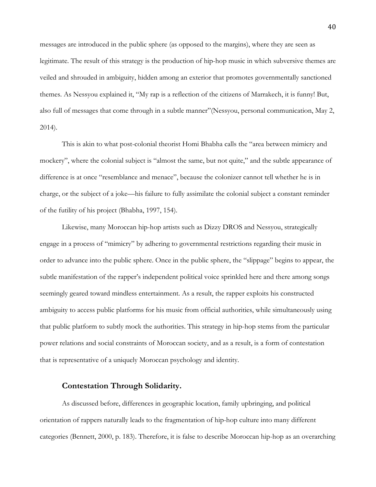messages are introduced in the public sphere (as opposed to the margins), where they are seen as legitimate. The result of this strategy is the production of hip-hop music in which subversive themes are veiled and shrouded in ambiguity, hidden among an exterior that promotes governmentally sanctioned themes. As Nessyou explained it, "My rap is a reflection of the citizens of Marrakech, it is funny! But, also full of messages that come through in a subtle manner"(Nessyou, personal communication, May 2, 2014).

This is akin to what post-colonial theorist Homi Bhabha calls the "area between mimicry and mockery", where the colonial subject is "almost the same, but not quite," and the subtle appearance of difference is at once "resemblance and menace", because the colonizer cannot tell whether he is in charge, or the subject of a joke—his failure to fully assimilate the colonial subject a constant reminder of the futility of his project (Bhabha, 1997, 154).

Likewise, many Moroccan hip-hop artists such as Dizzy DROS and Nessyou, strategically engage in a process of "mimicry" by adhering to governmental restrictions regarding their music in order to advance into the public sphere. Once in the public sphere, the "slippage" begins to appear, the subtle manifestation of the rapper's independent political voice sprinkled here and there among songs seemingly geared toward mindless entertainment. As a result, the rapper exploits his constructed ambiguity to access public platforms for his music from official authorities, while simultaneously using that public platform to subtly mock the authorities. This strategy in hip-hop stems from the particular power relations and social constraints of Moroccan society, and as a result, is a form of contestation that is representative of a uniquely Moroccan psychology and identity.

#### **Contestation Through Solidarity.**

As discussed before, differences in geographic location, family upbringing, and political orientation of rappers naturally leads to the fragmentation of hip-hop culture into many different categories (Bennett, 2000, p. 183). Therefore, it is false to describe Moroccan hip-hop as an overarching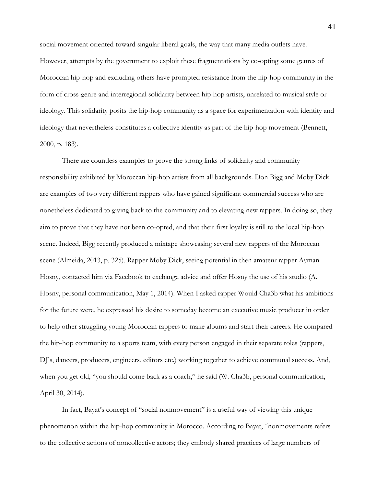social movement oriented toward singular liberal goals, the way that many media outlets have. However, attempts by the government to exploit these fragmentations by co-opting some genres of Moroccan hip-hop and excluding others have prompted resistance from the hip-hop community in the form of cross-genre and interregional solidarity between hip-hop artists, unrelated to musical style or ideology. This solidarity posits the hip-hop community as a space for experimentation with identity and ideology that nevertheless constitutes a collective identity as part of the hip-hop movement (Bennett, 2000, p. 183).

There are countless examples to prove the strong links of solidarity and community responsibility exhibited by Moroccan hip-hop artists from all backgrounds. Don Bigg and Moby Dick are examples of two very different rappers who have gained significant commercial success who are nonetheless dedicated to giving back to the community and to elevating new rappers. In doing so, they aim to prove that they have not been co-opted, and that their first loyalty is still to the local hip-hop scene. Indeed, Bigg recently produced a mixtape showcasing several new rappers of the Moroccan scene (Almeida, 2013, p. 325). Rapper Moby Dick, seeing potential in then amateur rapper Ayman Hosny, contacted him via Facebook to exchange advice and offer Hosny the use of his studio (A. Hosny, personal communication, May 1, 2014). When I asked rapper Would Cha3b what his ambitions for the future were, he expressed his desire to someday become an executive music producer in order to help other struggling young Moroccan rappers to make albums and start their careers. He compared the hip-hop community to a sports team, with every person engaged in their separate roles (rappers, DJ's, dancers, producers, engineers, editors etc.) working together to achieve communal success. And, when you get old, "you should come back as a coach," he said (W. Cha3b, personal communication, April 30, 2014).

In fact, Bayat's concept of "social nonmovement" is a useful way of viewing this unique phenomenon within the hip-hop community in Morocco. According to Bayat, "nonmovements refers to the collective actions of noncollective actors; they embody shared practices of large numbers of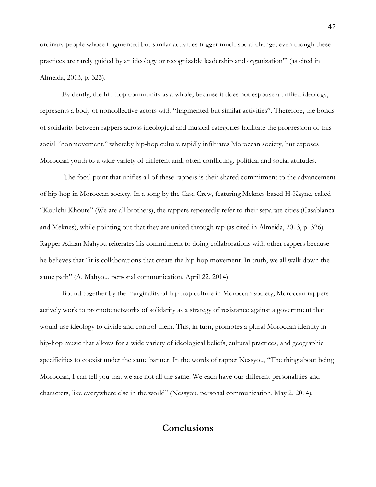ordinary people whose fragmented but similar activities trigger much social change, even though these practices are rarely guided by an ideology or recognizable leadership and organization'" (as cited in Almeida, 2013, p. 323).

Evidently, the hip-hop community as a whole, because it does not espouse a unified ideology, represents a body of noncollective actors with "fragmented but similar activities". Therefore, the bonds of solidarity between rappers across ideological and musical categories facilitate the progression of this social "nonmovement," whereby hip-hop culture rapidly infiltrates Moroccan society, but exposes Moroccan youth to a wide variety of different and, often conflicting, political and social attitudes.

The focal point that unifies all of these rappers is their shared commitment to the advancement of hip-hop in Moroccan society. In a song by the Casa Crew, featuring Meknes-based H-Kayne, called "Koulchi Khoute" (We are all brothers), the rappers repeatedly refer to their separate cities (Casablanca and Meknes), while pointing out that they are united through rap (as cited in Almeida, 2013, p. 326). Rapper Adnan Mahyou reiterates his commitment to doing collaborations with other rappers because he believes that "it is collaborations that create the hip-hop movement. In truth, we all walk down the same path" (A. Mahyou, personal communication, April 22, 2014).

Bound together by the marginality of hip-hop culture in Moroccan society, Moroccan rappers actively work to promote networks of solidarity as a strategy of resistance against a government that would use ideology to divide and control them. This, in turn, promotes a plural Moroccan identity in hip-hop music that allows for a wide variety of ideological beliefs, cultural practices, and geographic specificities to coexist under the same banner. In the words of rapper Nessyou, "The thing about being Moroccan, I can tell you that we are not all the same. We each have our different personalities and characters, like everywhere else in the world" (Nessyou, personal communication, May 2, 2014).

## **Conclusions**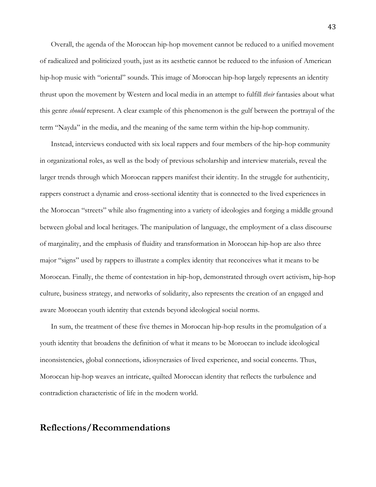Overall, the agenda of the Moroccan hip-hop movement cannot be reduced to a unified movement of radicalized and politicized youth, just as its aesthetic cannot be reduced to the infusion of American hip-hop music with "oriental" sounds. This image of Moroccan hip-hop largely represents an identity thrust upon the movement by Western and local media in an attempt to fulfill *their* fantasies about what this genre *should* represent. A clear example of this phenomenon is the gulf between the portrayal of the term "Nayda" in the media, and the meaning of the same term within the hip-hop community.

Instead, interviews conducted with six local rappers and four members of the hip-hop community in organizational roles, as well as the body of previous scholarship and interview materials, reveal the larger trends through which Moroccan rappers manifest their identity. In the struggle for authenticity, rappers construct a dynamic and cross-sectional identity that is connected to the lived experiences in the Moroccan "streets" while also fragmenting into a variety of ideologies and forging a middle ground between global and local heritages. The manipulation of language, the employment of a class discourse of marginality, and the emphasis of fluidity and transformation in Moroccan hip-hop are also three major "signs" used by rappers to illustrate a complex identity that reconceives what it means to be Moroccan. Finally, the theme of contestation in hip-hop, demonstrated through overt activism, hip-hop culture, business strategy, and networks of solidarity, also represents the creation of an engaged and aware Moroccan youth identity that extends beyond ideological social norms.

In sum, the treatment of these five themes in Moroccan hip-hop results in the promulgation of a youth identity that broadens the definition of what it means to be Moroccan to include ideological inconsistencies, global connections, idiosyncrasies of lived experience, and social concerns. Thus, Moroccan hip-hop weaves an intricate, quilted Moroccan identity that reflects the turbulence and contradiction characteristic of life in the modern world.

## **Reflections/Recommendations**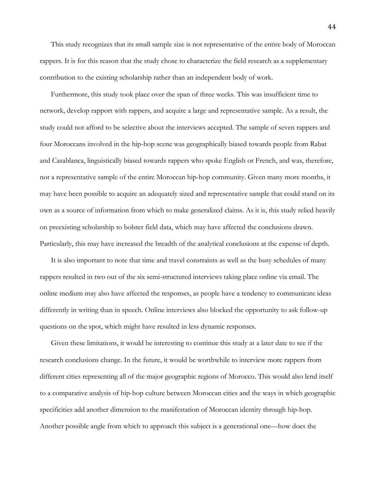This study recognizes that its small sample size is not representative of the entire body of Moroccan rappers. It is for this reason that the study chose to characterize the field research as a supplementary contribution to the existing scholarship rather than an independent body of work.

Furthermore, this study took place over the span of three weeks. This was insufficient time to network, develop rapport with rappers, and acquire a large and representative sample. As a result, the study could not afford to be selective about the interviews accepted. The sample of seven rappers and four Moroccans involved in the hip-hop scene was geographically biased towards people from Rabat and Casablanca, linguistically biased towards rappers who spoke English or French, and was, therefore, not a representative sample of the entire Moroccan hip-hop community. Given many more months, it may have been possible to acquire an adequately sized and representative sample that could stand on its own as a source of information from which to make generalized claims. As it is, this study relied heavily on preexisting scholarship to bolster field data, which may have affected the conclusions drawn. Particularly, this may have increased the breadth of the analytical conclusions at the expense of depth.

It is also important to note that time and travel constraints as well as the busy schedules of many rappers resulted in two out of the six semi-structured interviews taking place online via email. The online medium may also have affected the responses, as people have a tendency to communicate ideas differently in writing than in speech. Online interviews also blocked the opportunity to ask follow-up questions on the spot, which might have resulted in less dynamic responses.

Given these limitations, it would be interesting to continue this study at a later date to see if the research conclusions change. In the future, it would be worthwhile to interview more rappers from different cities representing all of the major geographic regions of Morocco. This would also lend itself to a comparative analysis of hip-hop culture between Moroccan cities and the ways in which geographic specificities add another dimension to the manifestation of Moroccan identity through hip-hop. Another possible angle from which to approach this subject is a generational one—how does the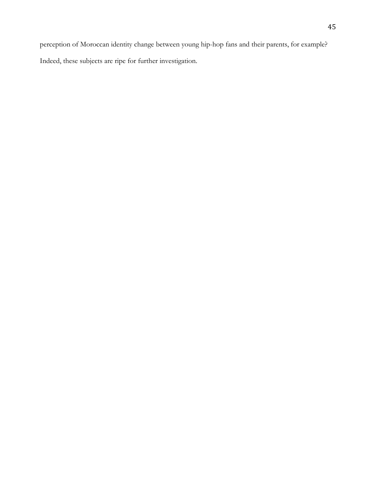perception of Moroccan identity change between young hip-hop fans and their parents, for example? Indeed, these subjects are ripe for further investigation.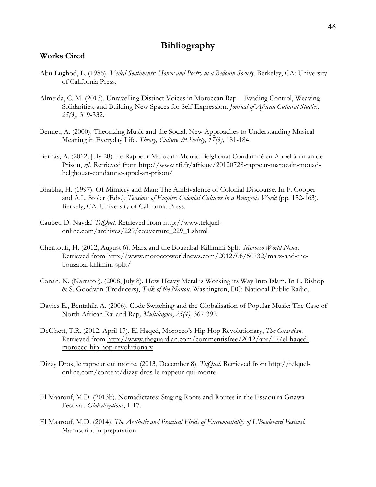## **Bibliography**

#### **Works Cited**

- Abu-Lughod, L. (1986). *Veiled Sentiments: Honor and Poetry in a Bedouin Society*. Berkeley, CA: University of California Press.
- Almeida, C. M. (2013). Unravelling Distinct Voices in Moroccan Rap—Evading Control, Weaving Solidarities, and Building New Spaces for Self-Expression. *Journal of African Cultural Studies, 25(3),* 319-332.
- Bennet, A. (2000). Theorizing Music and the Social. New Approaches to Understanding Musical Meaning in Everyday Life. *Theory, Culture & Society, 17(3),* 181-184.
- Bernas, A. (2012, July 28). Le Rappeur Marocain Mouad Belghouat Condamné en Appel à un an de Prison, *rfl.* Retrieved from http://www.rfi.fr/afrique/20120728-rappeur-marocain-mouadbelghouat-condamne-appel-an-prison/
- Bhabha, H. (1997). Of Mimicry and Man: The Ambivalence of Colonial Discourse. In F. Cooper and A.L. Stoler (Eds.), *Tensions of Empire: Colonial Cultures in a Bourgeois World* (pp. 152-163). Berkely, CA: University of California Press.
- Caubet, D. Nayda! *TelQuel.* Retrieved from http://www.telquelonline.com/archives/229/couverture\_229\_1.shtml
- Chentoufi, H. (2012, August 6). Marx and the Bouzabal-Killimini Split, *Morocco World News*. Retrieved from http://www.moroccoworldnews.com/2012/08/50732/marx-and-thebouzabal-killimini-split/
- Conan, N. (Narrator). (2008, July 8). How Heavy Metal is Working its Way Into Islam. In L. Bishop & S. Goodwin (Producers), *Talk of the Nation*. Washington, DC: National Public Radio.
- Davies E., Bentahila A. (2006). Code Switching and the Globalisation of Popular Music: The Case of North African Rai and Rap*, Multilingua*, *25(4),* 367-392.
- DeGhett, T.R. (2012, April 17). El Haqed, Morocco's Hip Hop Revolutionary, *The Guardian*. Retrieved from http://www.theguardian.com/commentisfree/2012/apr/17/el-haqedmorocco-hip-hop-revolutionary
- Dizzy Dros, le rappeur qui monte. (2013, December 8). *TelQuel*. Retrieved from http://telquelonline.com/content/dizzy-dros-le-rappeur-qui-monte
- El Maarouf, M.D. (2013b). Nomadictates: Staging Roots and Routes in the Essaouira Gnawa Festival. *Globalizations*, 1-17.
- El Maarouf, M.D. (2014), *The Aesthetic and Practical Fields of Excrementality of L'Boulevard Festival*. Manuscript in preparation.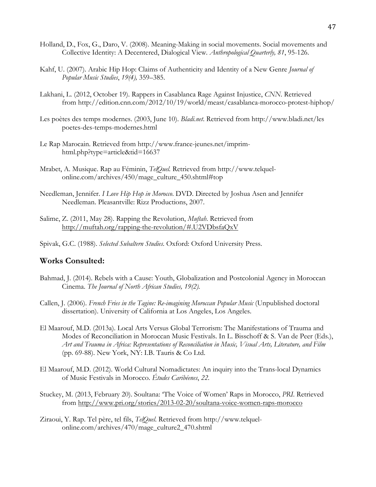- Holland, D., Fox, G., Daro, V. (2008). Meaning-Making in social movements. Social movements and Collective Identity: A Decentered, Dialogical View*. Anthropological Quarterly, 81*, 95-126.
- Kahf, U. (2007). Arabic Hip Hop: Claims of Authenticity and Identity of a New Genre *Journal of Popular Music Studies*, *19(4),* 359–385.
- Lakhani, L. (2012, October 19). Rappers in Casablanca Rage Against Injustice, *CNN*. Retrieved from http://edition.cnn.com/2012/10/19/world/meast/casablanca-morocco-protest-hiphop/
- Les poètes des temps modernes. (2003, June 10). *Bladi.net*. Retrieved from http://www.bladi.net/les poetes-des-temps-modernes.html
- Le Rap Marocain. Retrieved from http://www.france-jeunes.net/imprimhtml.php?type=article&tid=16637
- Mrabet, A. Musique. Rap au Féminin, *TelQuel.* Retrieved from http://www.telquelonline.com/archives/450/mage\_culture\_450.shtml#top
- Needleman, Jennifer. *I Love Hip Hop in Morocco*. DVD. Directed by Joshua Asen and Jennifer Needleman. Pleasantville: Rizz Productions, 2007.
- Salime, Z. (2011, May 28). Rapping the Revolution, *Muftah*. Retrieved from http://muftah.org/rapping-the-revolution/#.U2VDbsfaQxV
- Spivak, G.C. (1988). *Selected Subaltern Studies*. Oxford: Oxford University Press.

#### **Works Consulted:**

- Bahmad, J. (2014). Rebels with a Cause: Youth, Globalization and Postcolonial Agency in Moroccan Cinema. *The Journal of North African Studies, 19(2).*
- Callen, J. (2006). *French Fries in the Tagine: Re-imagining Moroccan Popular Music* (Unpublished doctoral dissertation). University of California at Los Angeles, Los Angeles.
- El Maarouf, M.D. (2013a). Local Arts Versus Global Terrorism: The Manifestations of Trauma and Modes of Reconciliation in Moroccan Music Festivals. In L. Bisschoff & S. Van de Peer (Eds.), *Art and Trauma in Africa: Representations of Reconciliation in Music, Visual Arts, Literature, and Film* (pp. 69-88). New York, NY: I.B. Tauris & Co Ltd.
- El Maarouf, M.D. (2012). World Cultural Nomadictates: An inquiry into the Trans-local Dynamics of Music Festivals in Morocco. *Études Caribéenes*, *22*.
- Stuckey, M. (2013, February 20). Soultana: 'The Voice of Women' Raps in Morocco, *PRI*. Retrieved from http://www.pri.org/stories/2013-02-20/soultana-voice-women-raps-morocco
- Ziraoui, Y. Rap. Tel père, tel fils, *TelQuel*. Retrieved from http://www.telquelonline.com/archives/470/mage\_culture2\_470.shtml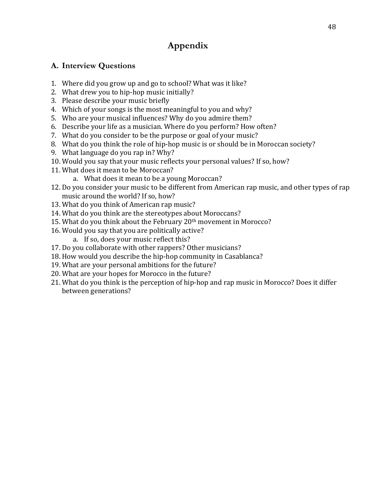## **Appendix**

## **A. Interview Questions**

- 1. Where did you grow up and go to school? What was it like?
- 2. What drew you to hip-hop music initially?
- 3. Please describe your music briefly
- 4. Which of your songs is the most meaningful to you and why?
- 5. Who are your musical influences? Why do you admire them?
- 6. Describe your life as a musician. Where do you perform? How often?
- 7. What do you consider to be the purpose or goal of your music?
- 8. What do you think the role of hip-hop music is or should be in Moroccan society?
- 9. What language do you rap in? Why?
- 10. Would you say that your music reflects your personal values? If so, how?
- 11. What does it mean to be Moroccan?
	- a. What does it mean to be a young Moroccan?
- 12. Do you consider your music to be different from American rap music, and other types of rap music around the world? If so, how?
- 13. What do you think of American rap music?
- 14. What do you think are the stereotypes about Moroccans?
- 15. What do you think about the February 20<sup>th</sup> movement in Morocco?
- 16. Would you say that you are politically active?
	- a. If so, does your music reflect this?
- 17. Do you collaborate with other rappers? Other musicians?
- 18. How would you describe the hip-hop community in Casablanca?
- 19. What are your personal ambitions for the future?
- 20. What are your hopes for Morocco in the future?
- 21. What do you think is the perception of hip-hop and rap music in Morocco? Does it differ between generations?